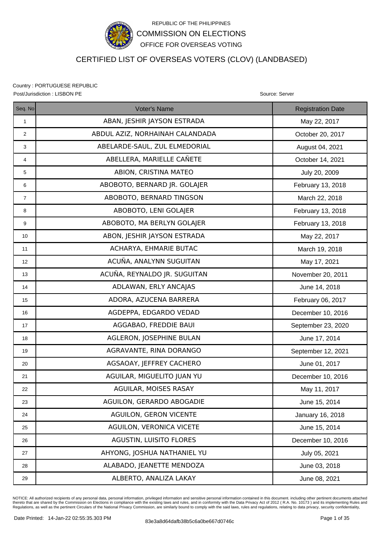

# CERTIFIED LIST OF OVERSEAS VOTERS (CLOV) (LANDBASED)

Country : PORTUGUESE REPUBLIC Post/Jurisdiction : LISBON PE **Source: Server** Source: Server Source: Server Source: Server Source: Server Source: Server Source: Server Source: Server Source: Server Source: Server Source: Server Source: Server Source: Se

Seq. No **Registration Date Contact Contact Voter's Name** Registration Date Registration Date 1 | ABAN, JESHIR JAYSON ESTRADA | May 22, 2017 2 | ABDUL AZIZ, NORHAINAH CALANDADA | October 20, 2017 3 ABELARDE-SAUL, ZUL ELMEDORIAL August 04, 2021 4 | ABELLERA, MARIELLE CAÑETE | October 14, 2021 5 ABION, CRISTINA MATEO 6 | ABOBOTO, BERNARD |R. GOLAJER | February 13, 2018 7 | ABOBOTO, BERNARD TINGSON NEWSLEY March 22, 2018 8 | ABOBOTO, LENI GOLAJER | February 13, 2018 9 ABOBOTO, MA BERLYN GOLAJER **February 13, 2018** 10 | ABON, JESHIR JAYSON ESTRADA | May 22, 2017 11 ACHARYA, EHMARIE BUTAC March 19, 2018 12 | May 17, 2021 | ACUÑA, ANALYNN SUGUITAN 13 | ACUÑA, REYNALDO JR. SUGUITAN | November 20, 2011 14 | ADLAWAN, ERLY ANCAJAS | June 14, 2018 15 | ADORA, AZUCENA BARRERA | February 06, 2017 16 AGDEPPA, EDGARDO VEDAD December 10, 2016 17 | AGGABAO, FREDDIE BAUI | September 23, 2020 18 | June 17, 2014 19 | AGRAVANTE, RINA DORANGO | September 12, 2021 20 | AGSAOAY, JEFFREY CACHERO | June 01, 2017 21 | AGUILAR, MIGUELITO JUAN YU | December 10, 2016 22 AGUILAR, MOISES RASAY Nav 11, 2017 23 | AGUILON, GERARDO ABOGADIE | June 15, 2014 24 | AGUILON, GERON VICENTE | January 16, 2018 25 AGUILON, VERONICA VICETE June 15, 2014 26 | AGUSTIN, LUISITO FLORES | December 10, 2016 27 AHYONG, JOSHUA NATHANIEL YU July 05, 2021 28 | ALABADO, JEANETTE MENDOZA | June 03, 2018 29 | ALBERTO, ANALIZA LAKAY | June 08, 2021

NOTICE: All authorized recipients of any personal data, personal information, privileged information and sensitive personal information contained in this document. including other pertinent documents attached thereto that are shared by the Commission on Elections in compliance with the existing laws and rules, and in conformity with the Data Privacy Act of 2012 ( R.A. No. 10173 ) and its implementing Rules and<br>Regulations, as w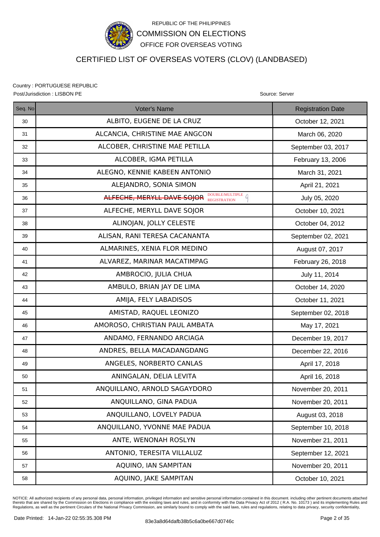

## CERTIFIED LIST OF OVERSEAS VOTERS (CLOV) (LANDBASED)

Country : PORTUGUESE REPUBLIC Post/Jurisdiction : LISBON PE **Source: Server** Source: Server Source: Server Source: Server

| Seq. No | Voter's Name                                        | <b>Registration Date</b> |
|---------|-----------------------------------------------------|--------------------------|
| 30      | ALBITO, EUGENE DE LA CRUZ                           | October 12, 2021         |
| 31      | ALCANCIA, CHRISTINE MAE ANGCON                      | March 06, 2020           |
| 32      | ALCOBER, CHRISTINE MAE PETILLA                      | September 03, 2017       |
| 33      | ALCOBER, IGMA PETILLA                               | February 13, 2006        |
| 34      | ALEGNO, KENNIE KABEEN ANTONIO                       | March 31, 2021           |
| 35      | ALEJANDRO, SONIA SIMON                              | April 21, 2021           |
| 36      | ALFECHE, MERYLL DAVE SOJOR <b>DOUBLE/MULTIPLE</b> 4 | July 05, 2020            |
| 37      | ALFECHE, MERYLL DAVE SOJOR                          | October 10, 2021         |
| 38      | ALINOJAN, JOLLY CELESTE                             | October 04, 2012         |
| 39      | ALISAN, RANI TERESA CACANANTA                       | September 02, 2021       |
| 40      | ALMARINES, XENIA FLOR MEDINO                        | August 07, 2017          |
| 41      | ALVAREZ, MARINAR MACATIMPAG                         | February 26, 2018        |
| 42      | AMBROCIO, JULIA CHUA                                | July 11, 2014            |
| 43      | AMBULO, BRIAN JAY DE LIMA                           | October 14, 2020         |
| 44      | AMIJA, FELY LABADISOS                               | October 11, 2021         |
| 45      | AMISTAD, RAQUEL LEONIZO                             | September 02, 2018       |
| 46      | AMOROSO, CHRISTIAN PAUL AMBATA                      | May 17, 2021             |
| 47      | ANDAMO, FERNANDO ARCIAGA                            | December 19, 2017        |
| 48      | ANDRES, BELLA MACADANGDANG                          | December 22, 2016        |
| 49      | ANGELES, NORBERTO CANLAS                            | April 17, 2018           |
| 50      | ANINGALAN, DELIA LEVITA                             | April 16, 2018           |
| 51      | ANQUILLANO, ARNOLD SAGAYDORO                        | November 20, 2011        |
| 52      | ANQUILLANO, GINA PADUA                              | November 20, 2011        |
| 53      | ANQUILLANO, LOVELY PADUA                            | August 03, 2018          |
| 54      | ANQUILLANO, YVONNE MAE PADUA                        | September 10, 2018       |
| 55      | ANTE, WENONAH ROSLYN                                | November 21, 2011        |
| 56      | ANTONIO, TERESITA VILLALUZ                          | September 12, 2021       |
| 57      | AQUINO, IAN SAMPITAN                                | November 20, 2011        |
| 58      | AQUINO, JAKE SAMPITAN                               | October 10, 2021         |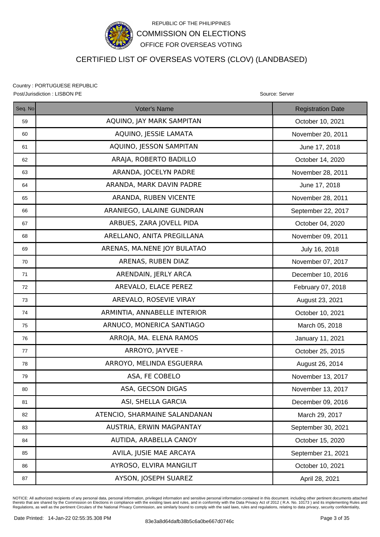

## CERTIFIED LIST OF OVERSEAS VOTERS (CLOV) (LANDBASED)

Country : PORTUGUESE REPUBLIC Post/Jurisdiction : LISBON PE **Source: Server** Source: Server Source: Server Source: Server

| Seq. No | <b>Voter's Name</b>           | <b>Registration Date</b> |
|---------|-------------------------------|--------------------------|
| 59      | AQUINO, JAY MARK SAMPITAN     | October 10, 2021         |
| 60      | AQUINO, JESSIE LAMATA         | November 20, 2011        |
| 61      | AQUINO, JESSON SAMPITAN       | June 17, 2018            |
| 62      | ARAJA, ROBERTO BADILLO        | October 14, 2020         |
| 63      | ARANDA, JOCELYN PADRE         | November 28, 2011        |
| 64      | ARANDA, MARK DAVIN PADRE      | June 17, 2018            |
| 65      | ARANDA, RUBEN VICENTE         | November 28, 2011        |
| 66      | ARANIEGO, LALAINE GUNDRAN     | September 22, 2017       |
| 67      | ARBUES, ZARA JOVELL PIDA      | October 04, 2020         |
| 68      | ARELLANO, ANITA PREGILLANA    | November 09, 2011        |
| 69      | ARENAS, MA.NENE JOY BULATAO   | July 16, 2018            |
| 70      | ARENAS, RUBEN DIAZ            | November 07, 2017        |
| 71      | ARENDAIN, JERLY ARCA          | December 10, 2016        |
| 72      | AREVALO, ELACE PEREZ          | February 07, 2018        |
| 73      | AREVALO, ROSEVIE VIRAY        | August 23, 2021          |
| 74      | ARMINTIA, ANNABELLE INTERIOR  | October 10, 2021         |
| 75      | ARNUCO, MONERICA SANTIAGO     | March 05, 2018           |
| 76      | ARROJA, MA. ELENA RAMOS       | January 11, 2021         |
| 77      | ARROYO, JAYVEE -              | October 25, 2015         |
| 78      | ARROYO, MELINDA ESGUERRA      | August 26, 2014          |
| 79      | ASA, FE COBELO                | November 13, 2017        |
| 80      | ASA, GECSON DIGAS             | November 13, 2017        |
| 81      | ASI, SHELLA GARCIA            | December 09, 2016        |
| 82      | ATENCIO, SHARMAINE SALANDANAN | March 29, 2017           |
| 83      | AUSTRIA, ERWIN MAGPANTAY      | September 30, 2021       |
| 84      | AUTIDA, ARABELLA CANOY        | October 15, 2020         |
| 85      | AVILA, JUSIE MAE ARCAYA       | September 21, 2021       |
| 86      | AYROSO, ELVIRA MANGILIT       | October 10, 2021         |
| 87      | AYSON, JOSEPH SUAREZ          | April 28, 2021           |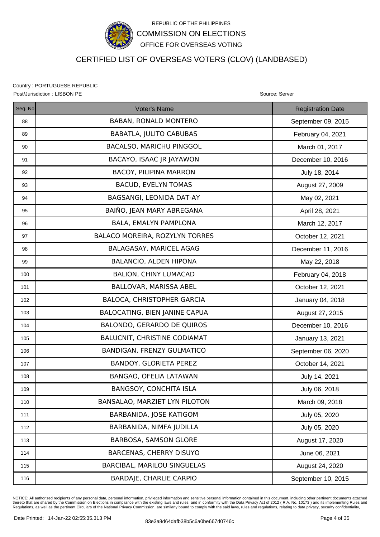

### CERTIFIED LIST OF OVERSEAS VOTERS (CLOV) (LANDBASED)

Country : PORTUGUESE REPUBLIC Post/Jurisdiction : LISBON PE **Source: Server** Source: Server Source: Server Source: Server

| Seq. No | Voter's Name                        | <b>Registration Date</b> |
|---------|-------------------------------------|--------------------------|
| 88      | <b>BABAN, RONALD MONTERO</b>        | September 09, 2015       |
| 89      | <b>BABATLA, JULITO CABUBAS</b>      | February 04, 2021        |
| 90      | <b>BACALSO, MARICHU PINGGOL</b>     | March 01, 2017           |
| 91      | BACAYO, ISAAC JR JAYAWON            | December 10, 2016        |
| 92      | <b>BACOY, PILIPINA MARRON</b>       | July 18, 2014            |
| 93      | <b>BACUD, EVELYN TOMAS</b>          | August 27, 2009          |
| 94      | BAGSANGI, LEONIDA DAT-AY            | May 02, 2021             |
| 95      | BAIÑO, JEAN MARY ABREGANA           | April 28, 2021           |
| 96      | BALA, EMALYN PAMPLONA               | March 12, 2017           |
| 97      | BALACO MOREIRA, ROZYLYN TORRES      | October 12, 2021         |
| 98      | BALAGASAY, MARICEL AGAG             | December 11, 2016        |
| 99      | BALANCIO, ALDEN HIPONA              | May 22, 2018             |
| 100     | <b>BALION, CHINY LUMACAD</b>        | February 04, 2018        |
| 101     | BALLOVAR, MARISSA ABEL              | October 12, 2021         |
| 102     | BALOCA, CHRISTOPHER GARCIA          | January 04, 2018         |
| 103     | BALOCATING, BIEN JANINE CAPUA       | August 27, 2015          |
| 104     | BALONDO, GERARDO DE QUIROS          | December 10, 2016        |
| 105     | <b>BALUCNIT, CHRISTINE CODIAMAT</b> | January 13, 2021         |
| 106     | <b>BANDIGAN, FRENZY GULMATICO</b>   | September 06, 2020       |
| 107     | BANDOY, GLORIETA PEREZ              | October 14, 2021         |
| 108     | BANGAO, OFELIA LATAWAN              | July 14, 2021            |
| 109     | <b>BANGSOY, CONCHITA ISLA</b>       | July 06, 2018            |
| 110     | BANSALAO, MARZIET LYN PILOTON       | March 09, 2018           |
| 111     | BARBANIDA, JOSE KATIGOM             | July 05, 2020            |
| 112     | BARBANIDA, NIMFA JUDILLA            | July 05, 2020            |
| 113     | BARBOSA, SAMSON GLORE               | August 17, 2020          |
| 114     | <b>BARCENAS, CHERRY DISUYO</b>      | June 06, 2021            |
| 115     | BARCIBAL, MARILOU SINGUELAS         | August 24, 2020          |
| 116     | <b>BARDAJE, CHARLIE CARPIO</b>      | September 10, 2015       |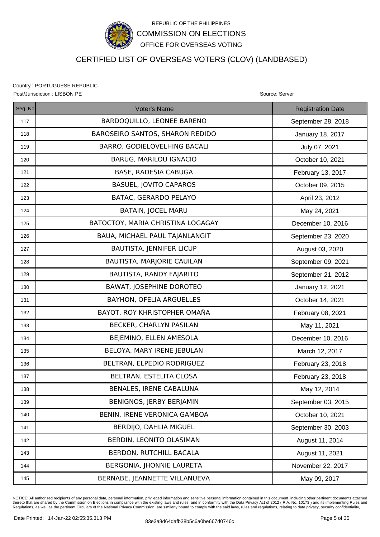

### CERTIFIED LIST OF OVERSEAS VOTERS (CLOV) (LANDBASED)

Country : PORTUGUESE REPUBLIC Post/Jurisdiction : LISBON PE Source: Server Source: Server Source: Server Source: Server

| Seq. No | Voter's Name                      | <b>Registration Date</b> |
|---------|-----------------------------------|--------------------------|
| 117     | BARDOQUILLO, LEONEE BARENO        | September 28, 2018       |
| 118     | BAROSEIRO SANTOS, SHARON REDIDO   | January 18, 2017         |
| 119     | BARRO, GODIELOVELHING BACALI      | July 07, 2021            |
| 120     | <b>BARUG, MARILOU IGNACIO</b>     | October 10, 2021         |
| 121     | BASE, RADESIA CABUGA              | February 13, 2017        |
| 122     | <b>BASUEL, JOVITO CAPAROS</b>     | October 09, 2015         |
| 123     | BATAC, GERARDO PELAYO             | April 23, 2012           |
| 124     | <b>BATAIN, JOCEL MARU</b>         | May 24, 2021             |
| 125     | BATOCTOY, MARIA CHRISTINA LOGAGAY | December 10, 2016        |
| 126     | BAUA, MICHAEL PAUL TAJANLANGIT    | September 23, 2020       |
| 127     | <b>BAUTISTA, JENNIFER LICUP</b>   | August 03, 2020          |
| 128     | BAUTISTA, MARJORIE CAUILAN        | September 09, 2021       |
| 129     | BAUTISTA, RANDY FAJARITO          | September 21, 2012       |
| 130     | <b>BAWAT, JOSEPHINE DOROTEO</b>   | January 12, 2021         |
| 131     | BAYHON, OFELIA ARGUELLES          | October 14, 2021         |
| 132     | BAYOT, ROY KHRISTOPHER OMAÑA      | February 08, 2021        |
| 133     | BECKER, CHARLYN PASILAN           | May 11, 2021             |
| 134     | BEJEMINO, ELLEN AMESOLA           | December 10, 2016        |
| 135     | BELOYA, MARY IRENE JEBULAN        | March 12, 2017           |
| 136     | BELTRAN, ELPEDIO RODRIGUEZ        | February 23, 2018        |
| 137     | BELTRAN, ESTELITA CLOSA           | February 23, 2018        |
| 138     | <b>BENALES, IRENE CABALUNA</b>    | May 12, 2014             |
| 139     | BENIGNOS, JERBY BERJAMIN          | September 03, 2015       |
| 140     | BENIN, IRENE VERONICA GAMBOA      | October 10, 2021         |
| 141     | BERDIJO, DAHLIA MIGUEL            | September 30, 2003       |
| 142     | BERDIN, LEONITO OLASIMAN          | August 11, 2014          |
| 143     | BERDON, RUTCHILL BACALA           | August 11, 2021          |
| 144     | BERGONIA, JHONNIE LAURETA         | November 22, 2017        |
| 145     | BERNABE, JEANNETTE VILLANUEVA     | May 09, 2017             |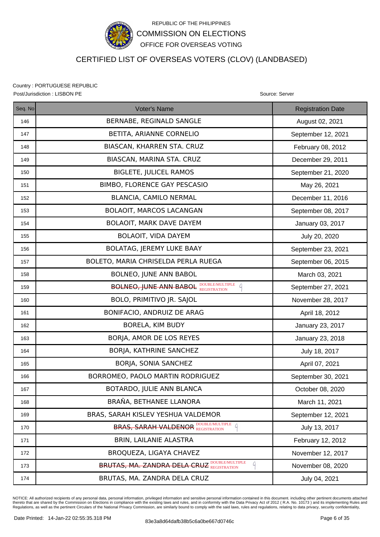

## CERTIFIED LIST OF OVERSEAS VOTERS (CLOV) (LANDBASED)

Country : PORTUGUESE REPUBLIC Post/Jurisdiction : LISBON PE **Source: Server** Source: Server Source: Server Source: Server

| Seq. No | <b>Voter's Name</b>                                         | <b>Registration Date</b> |
|---------|-------------------------------------------------------------|--------------------------|
| 146     | BERNABE, REGINALD SANGLE                                    | August 02, 2021          |
| 147     | BETITA, ARIANNE CORNELIO                                    | September 12, 2021       |
| 148     | BIASCAN, KHARREN STA. CRUZ                                  | February 08, 2012        |
| 149     | BIASCAN, MARINA STA. CRUZ                                   | December 29, 2011        |
| 150     | <b>BIGLETE, JULICEL RAMOS</b>                               | September 21, 2020       |
| 151     | BIMBO, FLORENCE GAY PESCASIO                                | May 26, 2021             |
| 152     | BLANCIA, CAMILO NERMAL                                      | December 11, 2016        |
| 153     | BOLAOIT, MARCOS LACANGAN                                    | September 08, 2017       |
| 154     | BOLAOIT, MARK DAVE DAYEM                                    | January 03, 2017         |
| 155     | <b>BOLAOIT, VIDA DAYEM</b>                                  | July 20, 2020            |
| 156     | <b>BOLATAG, JEREMY LUKE BAAY</b>                            | September 23, 2021       |
| 157     | BOLETO, MARIA CHRISELDA PERLA RUEGA                         | September 06, 2015       |
| 158     | BOLNEO, JUNE ANN BABOL                                      | March 03, 2021           |
| 159     | <b>BOLNEO, JUNE ANN BABOL DOUBLE/MULTIPLE</b><br>$\sqrt{a}$ | September 27, 2021       |
| 160     | BOLO, PRIMITIVO JR. SAJOL                                   | November 28, 2017        |
| 161     | BONIFACIO, ANDRUIZ DE ARAG                                  | April 18, 2012           |
| 162     | BORELA, KIM BUDY                                            | January 23, 2017         |
| 163     | BORJA, AMOR DE LOS REYES                                    | January 23, 2018         |
| 164     | BORJA, KATHRINE SANCHEZ                                     | July 18, 2017            |
| 165     | BORJA, SONIA SANCHEZ                                        | April 07, 2021           |
| 166     | BORROMEO, PAOLO MARTIN RODRIGUEZ                            | September 30, 2021       |
| 167     | BOTARDO, JULIE ANN BLANCA                                   | October 08, 2020         |
| 168     | BRAÑA, BETHANEE LLANORA                                     | March 11, 2021           |
| 169     | BRAS, SARAH KISLEV YESHUA VALDEMOR                          | September 12, 2021       |
| 170     | <b>BRAS, SARAH VALDENOR DOUBLE/MULTIPLE 4</b>               | July 13, 2017            |
| 171     | BRIN, LAILANIE ALASTRA                                      | February 12, 2012        |
| 172     | BROQUEZA, LIGAYA CHAVEZ                                     | November 12, 2017        |
| 173     | <b>BRUTAS, MA. ZANDRA DELA CRUZ DOUBLE/MULTIPLE</b><br>q    | November 08, 2020        |
| 174     | BRUTAS, MA. ZANDRA DELA CRUZ                                | July 04, 2021            |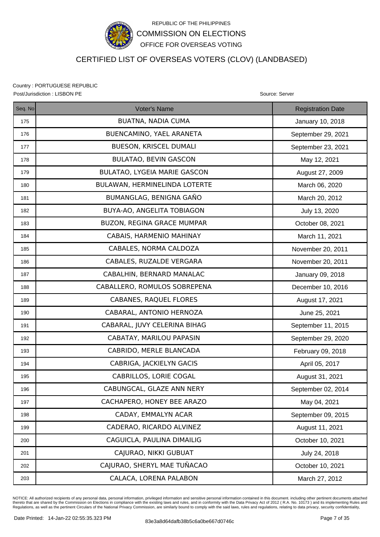

## CERTIFIED LIST OF OVERSEAS VOTERS (CLOV) (LANDBASED)

Country : PORTUGUESE REPUBLIC Post/Jurisdiction : LISBON PE **Source: Server** Source: Server Source: Server Source: Server

| Seq. No | Voter's Name                        | <b>Registration Date</b> |
|---------|-------------------------------------|--------------------------|
| 175     | <b>BUATNA, NADIA CUMA</b>           | January 10, 2018         |
| 176     | BUENCAMINO, YAEL ARANETA            | September 29, 2021       |
| 177     | BUESON, KRISCEL DUMALI              | September 23, 2021       |
| 178     | <b>BULATAO, BEVIN GASCON</b>        | May 12, 2021             |
| 179     | <b>BULATAO, LYGEIA MARIE GASCON</b> | August 27, 2009          |
| 180     | BULAWAN, HERMINELINDA LOTERTE       | March 06, 2020           |
| 181     | BUMANGLAG, BENIGNA GAÑO             | March 20, 2012           |
| 182     | BUYA-AO, ANGELITA TOBIAGON          | July 13, 2020            |
| 183     | BUZON, REGINA GRACE MUMPAR          | October 08, 2021         |
| 184     | CABAIS, HARMENIO MAHINAY            | March 11, 2021           |
| 185     | CABALES, NORMA CALDOZA              | November 20, 2011        |
| 186     | CABALES, RUZALDE VERGARA            | November 20, 2011        |
| 187     | CABALHIN, BERNARD MANALAC           | January 09, 2018         |
| 188     | CABALLERO, ROMULOS SOBREPENA        | December 10, 2016        |
| 189     | CABANES, RAQUEL FLORES              | August 17, 2021          |
| 190     | CABARAL, ANTONIO HERNOZA            | June 25, 2021            |
| 191     | CABARAL, JUVY CELERINA BIHAG        | September 11, 2015       |
| 192     | CABATAY, MARILOU PAPASIN            | September 29, 2020       |
| 193     | CABRIDO, MERLE BLANCADA             | February 09, 2018        |
| 194     | CABRIGA, JACKIELYN GACIS            | April 05, 2017           |
| 195     | CABRILLOS, LORIE COGAL              | August 31, 2021          |
| 196     | CABUNGCAL, GLAZE ANN NERY           | September 02, 2014       |
| 197     | CACHAPERO, HONEY BEE ARAZO          | May 04, 2021             |
| 198     | CADAY, EMMALYN ACAR                 | September 09, 2015       |
| 199     | CADERAO, RICARDO ALVINEZ            | August 11, 2021          |
| 200     | CAGUICLA, PAULINA DIMAILIG          | October 10, 2021         |
| 201     | CAJURAO, NIKKI GUBUAT               | July 24, 2018            |
| 202     | CAJURAO, SHERYL MAE TUÑACAO         | October 10, 2021         |
| 203     | CALACA, LORENA PALABON              | March 27, 2012           |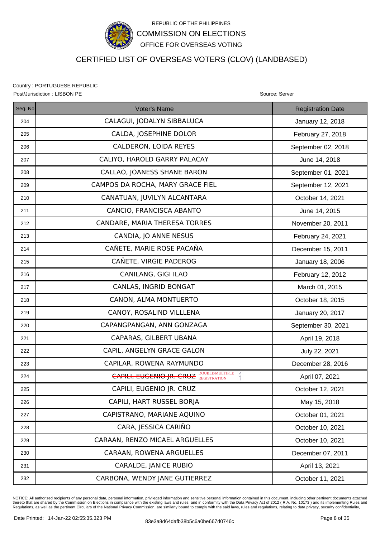

## CERTIFIED LIST OF OVERSEAS VOTERS (CLOV) (LANDBASED)

Country : PORTUGUESE REPUBLIC Post/Jurisdiction : LISBON PE Source: Server Source: Server Source: Server Source: Server

| Seq. No | Voter's Name                                        | <b>Registration Date</b> |
|---------|-----------------------------------------------------|--------------------------|
| 204     | CALAGUI, JODALYN SIBBALUCA                          | January 12, 2018         |
| 205     | CALDA, JOSEPHINE DOLOR                              | February 27, 2018        |
| 206     | CALDERON, LOIDA REYES                               | September 02, 2018       |
| 207     | CALIYO, HAROLD GARRY PALACAY                        | June 14, 2018            |
| 208     | CALLAO, JOANESS SHANE BARON                         | September 01, 2021       |
| 209     | CAMPOS DA ROCHA, MARY GRACE FIEL                    | September 12, 2021       |
| 210     | CANATUAN, JUVILYN ALCANTARA                         | October 14, 2021         |
| 211     | CANCIO, FRANCISCA ABANTO                            | June 14, 2015            |
| 212     | CANDARE, MARIA THERESA TORRES                       | November 20, 2011        |
| 213     | CANDIA, JO ANNE NESUS                               | February 24, 2021        |
| 214     | CAÑETE, MARIE ROSE PACAÑA                           | December 15, 2011        |
| 215     | CAÑETE, VIRGIE PADEROG                              | January 18, 2006         |
| 216     | CANILANG, GIGI ILAO                                 | February 12, 2012        |
| 217     | CANLAS, INGRID BONGAT                               | March 01, 2015           |
| 218     | CANON, ALMA MONTUERTO                               | October 18, 2015         |
| 219     | CANOY, ROSALIND VILLLENA                            | January 20, 2017         |
| 220     | CAPANGPANGAN, ANN GONZAGA                           | September 30, 2021       |
| 221     | CAPARAS, GILBERT UBANA                              | April 19, 2018           |
| 222     | CAPIL, ANGELYN GRACE GALON                          | July 22, 2021            |
| 223     | CAPILAR, ROWENA RAYMUNDO                            | December 28, 2016        |
| 224     | <b>CAPILI, EUGENIO JR. CRUZ DOUBLEMULTIPLE</b><br>A | April 07, 2021           |
| 225     | CAPILI, EUGENIO JR. CRUZ                            | October 12, 2021         |
| 226     | CAPILI, HART RUSSEL BORJA                           | May 15, 2018             |
| 227     | CAPISTRANO, MARIANE AQUINO                          | October 01, 2021         |
| 228     | CARA, JESSICA CARIÑO                                | October 10, 2021         |
| 229     | CARAAN, RENZO MICAEL ARGUELLES                      | October 10, 2021         |
| 230     | CARAAN, ROWENA ARGUELLES                            | December 07, 2011        |
| 231     | CARALDE, JANICE RUBIO                               | April 13, 2021           |
| 232     | CARBONA, WENDY JANE GUTIERREZ                       | October 11, 2021         |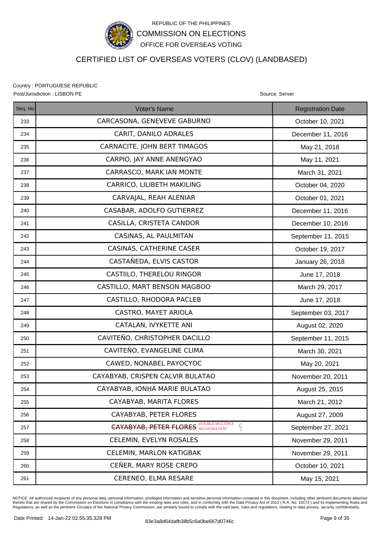

## CERTIFIED LIST OF OVERSEAS VOTERS (CLOV) (LANDBASED)

Country : PORTUGUESE REPUBLIC Post/Jurisdiction : LISBON PE Source: Server Source: Server Source: Server Source: Server

| Seq. No | <b>Voter's Name</b>                             | <b>Registration Date</b> |
|---------|-------------------------------------------------|--------------------------|
| 233     | CARCASONA, GENEVEVE GABURNO                     | October 10, 2021         |
| 234     | CARIT, DANILO ADRALES                           | December 11, 2016        |
| 235     | CARNACITE, JOHN BERT TIMAGOS                    | May 21, 2018             |
| 236     | CARPIO, JAY ANNE ANENGYAO                       | May 11, 2021             |
| 237     | CARRASCO, MARK IAN MONTE                        | March 31, 2021           |
| 238     | CARRICO, LILIBETH MAKILING                      | October 04, 2020         |
| 239     | CARVAJAL, REAH ALENIAR                          | October 01, 2021         |
| 240     | CASABAR, ADOLFO GUTIERREZ                       | December 11, 2016        |
| 241     | CASILLA, CRISTETA CANDOR                        | December 10, 2016        |
| 242     | CASINAS, AL PAULMITAN                           | September 11, 2015       |
| 243     | <b>CASINAS, CATHERINE CASER</b>                 | October 19, 2017         |
| 244     | CASTAÑEDA, ELVIS CASTOR                         | January 26, 2018         |
| 245     | CASTIILO, THERELOU RINGOR                       | June 17, 2018            |
| 246     | CASTILLO, MART BENSON MAGBOO                    | March 29, 2017           |
| 247     | CASTILLO, RHODORA PACLEB                        | June 17, 2018            |
| 248     | CASTRO, MAYET ARIOLA                            | September 03, 2017       |
| 249     | CATALAN, IVYKETTE ANI                           | August 02, 2020          |
| 250     | CAVITEÑO, CHRISTOPHER DACILLO                   | September 11, 2015       |
| 251     | CAVITEÑO, EVANGELINE CLIMA                      | March 30, 2021           |
| 252     | CAWED, NONABEL PAYOCYOC                         | May 20, 2021             |
| 253     | CAYABYAB, CRISPEN CALVIR BULATAO                | November 20, 2011        |
| 254     | CAYABYAB, IONHA MARIE BULATAO                   | August 25, 2015          |
| 255     | CAYABYAB, MARITA FLORES                         | March 21, 2012           |
| 256     | CAYABYAB, PETER FLORES                          | August 27, 2009          |
| 257     | <b>CAYABYAB, PETER FLORES DOUBLE/MULTIPLE</b> 4 | September 27, 2021       |
| 258     | CELEMIN, EVELYN ROSALES                         | November 29, 2011        |
| 259     | CELEMIN, MARLON KATIGBAK                        | November 29, 2011        |
| 260     | CEÑER, MARY ROSE CREPO                          | October 10, 2021         |
| 261     | CERENEO, ELMA RESARE                            | May 15, 2021             |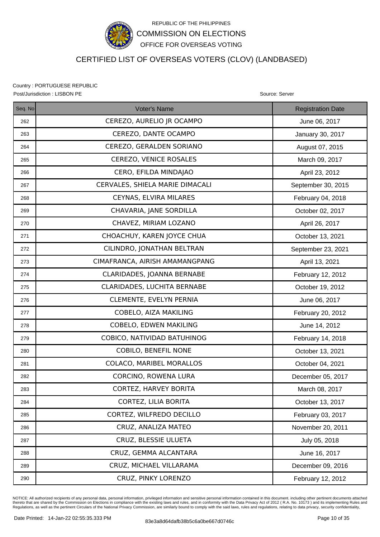

## CERTIFIED LIST OF OVERSEAS VOTERS (CLOV) (LANDBASED)

Country : PORTUGUESE REPUBLIC Post/Jurisdiction : LISBON PE **Source: Server** Source: Server Source: Server Source: Server

| Seq. No | Voter's Name                    | <b>Registration Date</b> |
|---------|---------------------------------|--------------------------|
| 262     | CEREZO, AURELIO JR OCAMPO       | June 06, 2017            |
| 263     | CEREZO, DANTE OCAMPO            | January 30, 2017         |
| 264     | CEREZO, GERALDEN SORIANO        | August 07, 2015          |
| 265     | CEREZO, VENICE ROSALES          | March 09, 2017           |
| 266     | CERO, EFILDA MINDAJAO           | April 23, 2012           |
| 267     | CERVALES, SHIELA MARIE DIMACALI | September 30, 2015       |
| 268     | CEYNAS, ELVIRA MILARES          | February 04, 2018        |
| 269     | CHAVARIA, JANE SORDILLA         | October 02, 2017         |
| 270     | CHAVEZ, MIRIAM LOZANO           | April 26, 2017           |
| 271     | CHOACHUY, KAREN JOYCE CHUA      | October 13, 2021         |
| 272     | CILINDRO, JONATHAN BELTRAN      | September 23, 2021       |
| 273     | CIMAFRANCA, AIRISH AMAMANGPANG  | April 13, 2021           |
| 274     | CLARIDADES, JOANNA BERNABE      | February 12, 2012        |
| 275     | CLARIDADES, LUCHITA BERNABE     | October 19, 2012         |
| 276     | CLEMENTE, EVELYN PERNIA         | June 06, 2017            |
| 277     | COBELO, AIZA MAKILING           | February 20, 2012        |
| 278     | COBELO, EDWEN MAKILING          | June 14, 2012            |
| 279     | COBICO, NATIVIDAD BATUHINOG     | February 14, 2018        |
| 280     | <b>COBILO, BENEFIL NONE</b>     | October 13, 2021         |
| 281     | COLACO, MARIBEL MORALLOS        | October 04, 2021         |
| 282     | CORCINO, ROWENA LURA            | December 05, 2017        |
| 283     | <b>CORTEZ, HARVEY BORITA</b>    | March 08, 2017           |
| 284     | CORTEZ, LILIA BORITA            | October 13, 2017         |
| 285     | CORTEZ, WILFREDO DECILLO        | February 03, 2017        |
| 286     | CRUZ, ANALIZA MATEO             | November 20, 2011        |
| 287     | CRUZ, BLESSIE ULUETA            | July 05, 2018            |
| 288     | CRUZ, GEMMA ALCANTARA           | June 16, 2017            |
| 289     | CRUZ, MICHAEL VILLARAMA         | December 09, 2016        |
| 290     | CRUZ, PINKY LORENZO             | February 12, 2012        |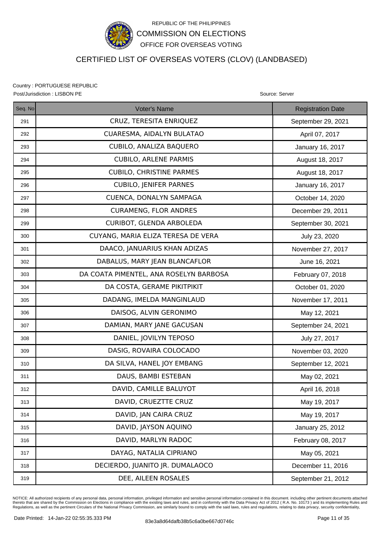

## CERTIFIED LIST OF OVERSEAS VOTERS (CLOV) (LANDBASED)

Country : PORTUGUESE REPUBLIC Post/Jurisdiction : LISBON PE **Source: Server** Source: Server Source: Server Source: Server

| Seq. No | Voter's Name                           | <b>Registration Date</b> |
|---------|----------------------------------------|--------------------------|
| 291     | CRUZ, TERESITA ENRIQUEZ                | September 29, 2021       |
| 292     | CUARESMA, AIDALYN BULATAO              | April 07, 2017           |
| 293     | CUBILO, ANALIZA BAQUERO                | January 16, 2017         |
| 294     | <b>CUBILO, ARLENE PARMIS</b>           | August 18, 2017          |
| 295     | <b>CUBILO, CHRISTINE PARMES</b>        | August 18, 2017          |
| 296     | <b>CUBILO, JENIFER PARNES</b>          | January 16, 2017         |
| 297     | CUENCA, DONALYN SAMPAGA                | October 14, 2020         |
| 298     | <b>CURAMENG, FLOR ANDRES</b>           | December 29, 2011        |
| 299     | CURIBOT, GLENDA ARBOLEDA               | September 30, 2021       |
| 300     | CUYANG, MARIA ELIZA TERESA DE VERA     | July 23, 2020            |
| 301     | DAACO, JANUARIUS KHAN ADIZAS           | November 27, 2017        |
| 302     | DABALUS, MARY JEAN BLANCAFLOR          | June 16, 2021            |
| 303     | DA COATA PIMENTEL, ANA ROSELYN BARBOSA | February 07, 2018        |
| 304     | DA COSTA, GERAME PIKITPIKIT            | October 01, 2020         |
| 305     | DADANG, IMELDA MANGINLAUD              | November 17, 2011        |
| 306     | DAISOG, ALVIN GERONIMO                 | May 12, 2021             |
| 307     | DAMIAN, MARY JANE GACUSAN              | September 24, 2021       |
| 308     | DANIEL, JOVILYN TEPOSO                 | July 27, 2017            |
| 309     | DASIG, ROVAIRA COLOCADO                | November 03, 2020        |
| 310     | DA SILVA, HANEL JOY EMBANG             | September 12, 2021       |
| 311     | DAUS, BAMBI ESTEBAN                    | May 02, 2021             |
| 312     | DAVID, CAMILLE BALUYOT                 | April 16, 2018           |
| 313     | DAVID, CRUEZTTE CRUZ                   | May 19, 2017             |
| 314     | DAVID, JAN CAIRA CRUZ                  | May 19, 2017             |
| 315     | DAVID, JAYSON AQUINO                   | January 25, 2012         |
| 316     | DAVID, MARLYN RADOC                    | February 08, 2017        |
| 317     | DAYAG, NATALIA CIPRIANO                | May 05, 2021             |
| 318     | DECIERDO, JUANITO JR. DUMALAOCO        | December 11, 2016        |
| 319     | DEE, AILEEN ROSALES                    | September 21, 2012       |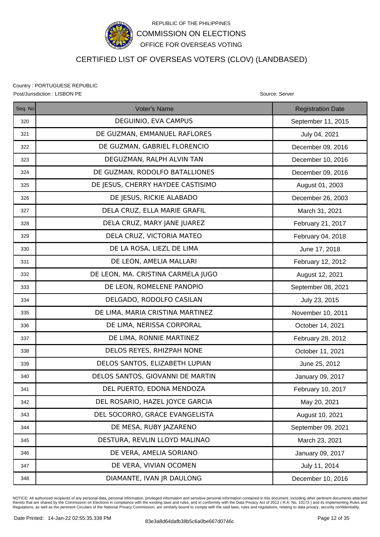

## CERTIFIED LIST OF OVERSEAS VOTERS (CLOV) (LANDBASED)

Country : PORTUGUESE REPUBLIC Post/Jurisdiction : LISBON PE **Source: Server** Source: Server Source: Server Source: Server

| Seq. No | <b>Voter's Name</b>                | <b>Registration Date</b> |
|---------|------------------------------------|--------------------------|
| 320     | DEGUINIO, EVA CAMPUS               | September 11, 2015       |
| 321     | DE GUZMAN, EMMANUEL RAFLORES       | July 04, 2021            |
| 322     | DE GUZMAN, GABRIEL FLORENCIO       | December 09, 2016        |
| 323     | DEGUZMAN, RALPH ALVIN TAN          | December 10, 2016        |
| 324     | DE GUZMAN, RODOLFO BATALLIONES     | December 09, 2016        |
| 325     | DE JESUS, CHERRY HAYDEE CASTISIMO  | August 01, 2003          |
| 326     | DE JESUS, RICKIE ALABADO           | December 26, 2003        |
| 327     | DELA CRUZ, ELLA MARIE GRAFIL       | March 31, 2021           |
| 328     | DELA CRUZ, MARY JANE JUAREZ        | February 21, 2017        |
| 329     | DELA CRUZ, VICTORIA MATEO          | February 04, 2018        |
| 330     | DE LA ROSA, LIEZL DE LIMA          | June 17, 2018            |
| 331     | DE LEON, AMELIA MALLARI            | February 12, 2012        |
| 332     | DE LEON, MA. CRISTINA CARMELA JUGO | August 12, 2021          |
| 333     | DE LEON, ROMELENE PANOPIO          | September 08, 2021       |
| 334     | DELGADO, RODOLFO CASILAN           | July 23, 2015            |
| 335     | DE LIMA, MARIA CRISTINA MARTINEZ   | November 10, 2011        |
| 336     | DE LIMA, NERISSA CORPORAL          | October 14, 2021         |
| 337     | DE LIMA, RONNIE MARTINEZ           | February 28, 2012        |
| 338     | DELOS REYES, RHIZPAH NONE          | October 11, 2021         |
| 339     | DELOS SANTOS, ELIZABETH LUPIAN     | June 25, 2012            |
| 340     | DELOS SANTOS, GIOVANNI DE MARTIN   | January 09, 2017         |
| 341     | DEL PUERTO, EDONA MENDOZA          | February 10, 2017        |
| 342     | DEL ROSARIO, HAZEL JOYCE GARCIA    | May 20, 2021             |
| 343     | DEL SOCORRO, GRACE EVANGELISTA     | August 10, 2021          |
| 344     | DE MESA, RUBY JAZARENO             | September 09, 2021       |
| 345     | DESTURA, REVLIN LLOYD MALINAO      | March 23, 2021           |
| 346     | DE VERA, AMELIA SORIANO            | January 09, 2017         |
| 347     | DE VERA, VIVIAN OCOMEN             | July 11, 2014            |
| 348     | DIAMANTE, IVAN JR DAULONG          | December 10, 2016        |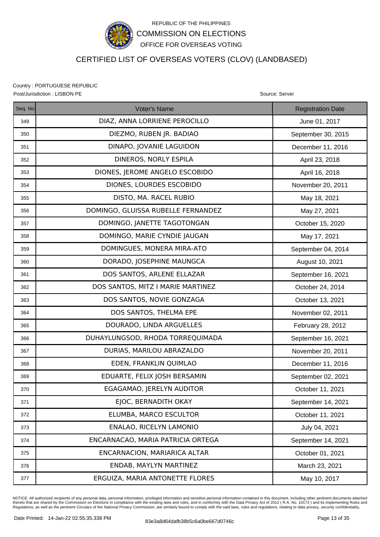

## CERTIFIED LIST OF OVERSEAS VOTERS (CLOV) (LANDBASED)

Country : PORTUGUESE REPUBLIC Post/Jurisdiction : LISBON PE **Source: Server** Source: Server Source: Server Source: Server

| Seq. No | Voter's Name                       | <b>Registration Date</b> |
|---------|------------------------------------|--------------------------|
| 349     | DIAZ, ANNA LORRIENE PEROCILLO      | June 01, 2017            |
| 350     | DIEZMO, RUBEN JR. BADIAO           | September 30, 2015       |
| 351     | DINAPO, JOVANIE LAGUIDON           | December 11, 2016        |
| 352     | DINEROS, NORLY ESPILA              | April 23, 2018           |
| 353     | DIONES, JEROME ANGELO ESCOBIDO     | April 16, 2018           |
| 354     | DIONES, LOURDES ESCOBIDO           | November 20, 2011        |
| 355     | DISTO, MA. RACEL RUBIO             | May 18, 2021             |
| 356     | DOMINGO, GLUISSA RUBELLE FERNANDEZ | May 27, 2021             |
| 357     | DOMINGO, JANETTE TAGOTONGAN        | October 15, 2020         |
| 358     | DOMINGO, MARIE CYNDIE JAUGAN       | May 17, 2021             |
| 359     | DOMINGUES, MONERA MIRA-ATO         | September 04, 2014       |
| 360     | DORADO, JOSEPHINE MAUNGCA          | August 10, 2021          |
| 361     | DOS SANTOS, ARLENE ELLAZAR         | September 16, 2021       |
| 362     | DOS SANTOS, MITZ I MARIE MARTINEZ  | October 24, 2014         |
| 363     | DOS SANTOS, NOVIE GONZAGA          | October 13, 2021         |
| 364     | DOS SANTOS, THELMA EPE             | November 02, 2011        |
| 365     | DOURADO, LINDA ARGUELLES           | February 28, 2012        |
| 366     | DUHAYLUNGSOD, RHODA TORREQUIMADA   | September 16, 2021       |
| 367     | DURIAS, MARILOU ABRAZALDO          | November 20, 2011        |
| 368     | EDEN, FRANKLIN QUIMLAO             | December 11, 2016        |
| 369     | EDUARTE, FELIX JOSH BERSAMIN       | September 02, 2021       |
| 370     | EGAGAMAO, JERELYN AUDITOR          | October 11, 2021         |
| 371     | EJOC, BERNADITH OKAY               | September 14, 2021       |
| 372     | ELUMBA, MARCO ESCULTOR             | October 11, 2021         |
| 373     | ENALAO, RICELYN LAMONIO            | July 04, 2021            |
| 374     | ENCARNACAO, MARIA PATRICIA ORTEGA  | September 14, 2021       |
| 375     | ENCARNACION, MARIARICA ALTAR       | October 01, 2021         |
| 376     | ENDAB, MAYLYN MARTINEZ             | March 23, 2021           |
| 377     | ERGUIZA, MARIA ANTONETTE FLORES    | May 10, 2017             |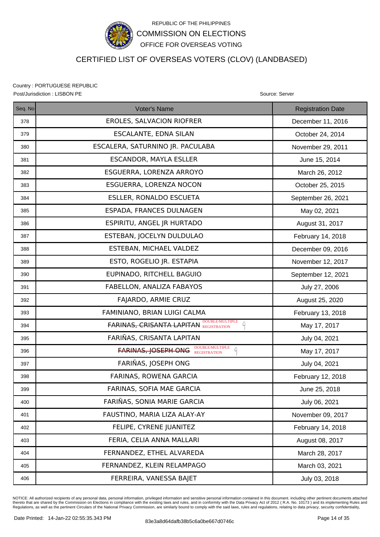

## CERTIFIED LIST OF OVERSEAS VOTERS (CLOV) (LANDBASED)

Country : PORTUGUESE REPUBLIC Post/Jurisdiction : LISBON PE **Source: Server** Source: Server Source: Server Source: Server

| Seq. No | <b>Voter's Name</b>                                                            | <b>Registration Date</b> |
|---------|--------------------------------------------------------------------------------|--------------------------|
| 378     | EROLES, SALVACION RIOFRER                                                      | December 11, 2016        |
| 379     | ESCALANTE, EDNA SILAN                                                          | October 24, 2014         |
| 380     | ESCALERA, SATURNINO JR. PACULABA                                               | November 29, 2011        |
| 381     | <b>ESCANDOR, MAYLA ESLLER</b>                                                  | June 15, 2014            |
| 382     | ESGUERRA, LORENZA ARROYO                                                       | March 26, 2012           |
| 383     | ESGUERRA, LORENZA NOCON                                                        | October 25, 2015         |
| 384     | <b>ESLLER, RONALDO ESCUETA</b>                                                 | September 26, 2021       |
| 385     | ESPADA, FRANCES DULNAGEN                                                       | May 02, 2021             |
| 386     | ESPIRITU, ANGEL JR HURTADO                                                     | August 31, 2017          |
| 387     | ESTEBAN, JOCELYN DULDULAO                                                      | February 14, 2018        |
| 388     | ESTEBAN, MICHAEL VALDEZ                                                        | December 09, 2016        |
| 389     | ESTO, ROGELIO JR. ESTAPIA                                                      | November 12, 2017        |
| 390     | EUPINADO, RITCHELL BAGUIO                                                      | September 12, 2021       |
| 391     | FABELLON, ANALIZA FABAYOS                                                      | July 27, 2006            |
| 392     | FAJARDO, ARMIE CRUZ                                                            | August 25, 2020          |
| 393     | FAMINIANO, BRIAN LUIGI CALMA                                                   | February 13, 2018        |
| 394     | <b>FARINAS, CRISANTA LAPITAN BOUBLEMULTIPLE</b>                                | May 17, 2017             |
| 395     | FARIÑAS, CRISANTA LAPITAN                                                      | July 04, 2021            |
| 396     | DOUBLE/MULTIPLE<br>REGISTRATION<br>$\mathcal{L}$<br><b>FARINAS, JOSEPH ONG</b> | May 17, 2017             |
| 397     | FARIÑAS, JOSEPH ONG                                                            | July 04, 2021            |
| 398     | FARINAS, ROWENA GARCIA                                                         | February 12, 2018        |
| 399     | FARINAS, SOFIA MAE GARCIA                                                      | June 25, 2018            |
| 400     | FARIÑAS, SONIA MARIE GARCIA                                                    | July 06, 2021            |
| 401     | FAUSTINO, MARIA LIZA ALAY-AY                                                   | November 09, 2017        |
| 402     | FELIPE, CYRENE JUANITEZ                                                        | February 14, 2018        |
| 403     | FERIA, CELIA ANNA MALLARI                                                      | August 08, 2017          |
| 404     | FERNANDEZ, ETHEL ALVAREDA                                                      | March 28, 2017           |
| 405     | FERNANDEZ, KLEIN RELAMPAGO                                                     | March 03, 2021           |
| 406     | FERREIRA, VANESSA BAJET                                                        | July 03, 2018            |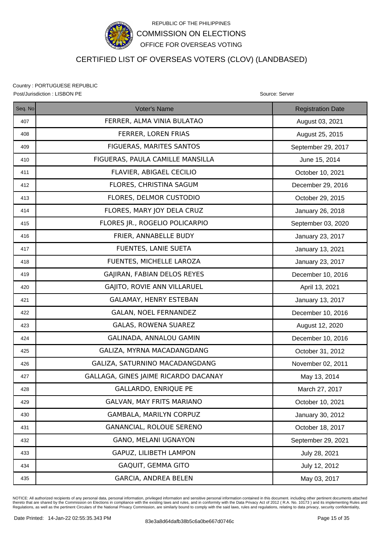

## CERTIFIED LIST OF OVERSEAS VOTERS (CLOV) (LANDBASED)

Country : PORTUGUESE REPUBLIC Post/Jurisdiction : LISBON PE **Source: Server** Source: Server Source: Server Source: Server

| Seq. No | Voter's Name                         | <b>Registration Date</b> |
|---------|--------------------------------------|--------------------------|
| 407     | FERRER, ALMA VINIA BULATAO           | August 03, 2021          |
| 408     | FERRER, LOREN FRIAS                  | August 25, 2015          |
| 409     | FIGUERAS, MARITES SANTOS             | September 29, 2017       |
| 410     | FIGUERAS, PAULA CAMILLE MANSILLA     | June 15, 2014            |
| 411     | FLAVIER, ABIGAEL CECILIO             | October 10, 2021         |
| 412     | FLORES, CHRISTINA SAGUM              | December 29, 2016        |
| 413     | FLORES, DELMOR CUSTODIO              | October 29, 2015         |
| 414     | FLORES, MARY JOY DELA CRUZ           | January 26, 2018         |
| 415     | FLORES JR., ROGELIO POLICARPIO       | September 03, 2020       |
| 416     | FRIER, ANNABELLE BUDY                | January 23, 2017         |
| 417     | FUENTES, LANIE SUETA                 | January 13, 2021         |
| 418     | FUENTES, MICHELLE LAROZA             | January 23, 2017         |
| 419     | GAJIRAN, FABIAN DELOS REYES          | December 10, 2016        |
| 420     | GAJITO, ROVIE ANN VILLARUEL          | April 13, 2021           |
| 421     | GALAMAY, HENRY ESTEBAN               | January 13, 2017         |
| 422     | <b>GALAN, NOEL FERNANDEZ</b>         | December 10, 2016        |
| 423     | GALAS, ROWENA SUAREZ                 | August 12, 2020          |
| 424     | GALINADA, ANNALOU GAMIN              | December 10, 2016        |
| 425     | GALIZA, MYRNA MACADANGDANG           | October 31, 2012         |
| 426     | GALIZA, SATURNINO MACADANGDANG       | November 02, 2011        |
| 427     | GALLAGA, GINES JAIME RICARDO DACANAY | May 13, 2014             |
| 428     | <b>GALLARDO, ENRIQUE PE</b>          | March 27, 2017           |
| 429     | <b>GALVAN, MAY FRITS MARIANO</b>     | October 10, 2021         |
| 430     | GAMBALA, MARILYN CORPUZ              | January 30, 2012         |
| 431     | GANANCIAL, ROLOUE SERENO             | October 18, 2017         |
| 432     | <b>GANO, MELANI UGNAYON</b>          | September 29, 2021       |
| 433     | GAPUZ, LILIBETH LAMPON               | July 28, 2021            |
| 434     | GAQUIT, GEMMA GITO                   | July 12, 2012            |
| 435     | <b>GARCIA, ANDREA BELEN</b>          | May 03, 2017             |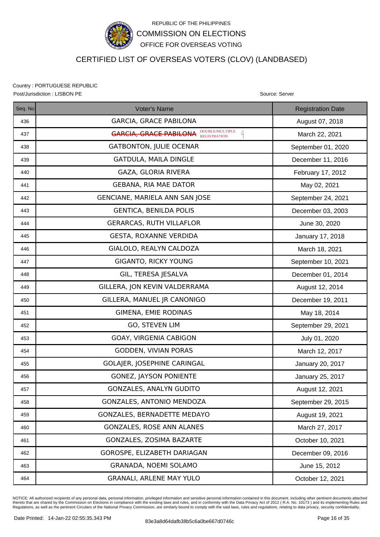

## CERTIFIED LIST OF OVERSEAS VOTERS (CLOV) (LANDBASED)

Country : PORTUGUESE REPUBLIC

Seq. No **Registration Date Contact Contact Voter's Name** Registration Date Registration Date Post/Jurisdiction : LISBON PE **Source: Server** Source: Server Source: Server Source: Server Source: Server Source: Server Source: Server Source: Server Source: Server Source: Server Source: Server Source: Server Source: Se 436 | GARCIA, GRACE PABILONA | August 07, 2018 437  $\parallel$  March 22, 2021 438 | GATBONTON, JULIE OCENAR | September 01, 2020 439 GATDULA, MAILA DINGLE **December 11, 2016** 440 | GAZA, GLORIA RIVERA FEBRUARY 17, 2012 441 GEBANA, RIA MAE DATOR May 02, 2021 442 | GENCIANE, MARIELA ANN SAN JOSE | September 24, 2021 443 | GENTICA, BENILDA POLIS | December 03, 2003 444 | GERARCAS, RUTH VILLAFLOR | June 30, 2020 445 GESTA, ROXANNE VERDIDA January 17, 2018 446 GIALOLO, REALYN CALDOZA NERRA March 18, 2021 447 | GIGANTO, RICKY YOUNG | September 10, 2021 448 | GIL, TERESA JESALVA | December 01, 2014 449 | GILLERA, JON KEVIN VALDERRAMA | August 12, 2014 450 GILLERA, MANUEL JR CANONIGO December 19, 2011 451 GIMENA, EMIE RODINAS And All May 18, 2014 452 | GO, STEVEN LIM September 29, 2021 453 | GOAY, VIRGENIA CABIGON | July 01, 2020 454 GODDEN, VIVIAN PORAS NEWSLEY March 12, 2017 455 | GOLAJER, JOSEPHINE CARINGAL | January 20, 2017 456 | GONEZ, JAYSON PONIENTE | January 25, 2017 457 | GONZALES, ANALYN GUDITO | August 12, 2021 458 | GONZALES, ANTONIO MENDOZA | September 29, 2015 459 | GONZALES, BERNADETTE MEDAYO | August 19, 2021 460 GONZALES, ROSE ANN ALANES **March 27, 2017** 461 GONZALES, ZOSIMA BAZARTE CORPORATE CORPORATION CONTRACT OF A GEOGRAPHIC CORPORATION OF A GEOGRAPHIC CORPORATION OF A GEOGRAPHIC CORPORATION OF A GEOGRAPHIC CORPORATION OF A GEOGRAPHIC CONTRACT OF A GEOGRAPHIC CONTRACT 462 GOROSPE, ELIZABETH DARIAGAN December 09, 2016 463 GRANADA, NOEMI SOLAMO AND SOLAMO 464 GRANALI, ARLENE MAY YULO COLODER 12, 2021 DOUBLE/MULTIPLE

NOTICE: All authorized recipients of any personal data, personal information, privileged information and sensitive personal information contained in this document. including other pertinent documents attached thereto that are shared by the Commission on Elections in compliance with the existing laws and rules, and in conformity with the Data Privacy Act of 2012 ( R.A. No. 10173 ) and its implementing Rules and<br>Regulations, as w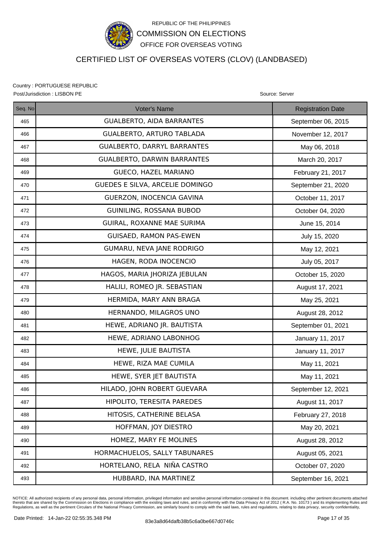

## CERTIFIED LIST OF OVERSEAS VOTERS (CLOV) (LANDBASED)

Country : PORTUGUESE REPUBLIC Post/Jurisdiction : LISBON PE **Source: Server** Source: Server Source: Server Source: Server

| Seq. No | Voter's Name                       | <b>Registration Date</b> |
|---------|------------------------------------|--------------------------|
| 465     | <b>GUALBERTO, AIDA BARRANTES</b>   | September 06, 2015       |
| 466     | GUALBERTO, ARTURO TABLADA          | November 12, 2017        |
| 467     | <b>GUALBERTO, DARRYL BARRANTES</b> | May 06, 2018             |
| 468     | <b>GUALBERTO, DARWIN BARRANTES</b> | March 20, 2017           |
| 469     | <b>GUECO, HAZEL MARIANO</b>        | February 21, 2017        |
| 470     | GUEDES E SILVA, ARCELIE DOMINGO    | September 21, 2020       |
| 471     | GUERZON, INOCENCIA GAVINA          | October 11, 2017         |
| 472     | GUINILING, ROSSANA BUBOD           | October 04, 2020         |
| 473     | GUIRAL, ROXANNE MAE SURIMA         | June 15, 2014            |
| 474     | GUISAED, RAMON PAS-EWEN            | July 15, 2020            |
| 475     | GUMARU, NEVA JANE RODRIGO          | May 12, 2021             |
| 476     | HAGEN, RODA INOCENCIO              | July 05, 2017            |
| 477     | HAGOS, MARIA JHORIZA JEBULAN       | October 15, 2020         |
| 478     | HALILI, ROMEO JR. SEBASTIAN        | August 17, 2021          |
| 479     | HERMIDA, MARY ANN BRAGA            | May 25, 2021             |
| 480     | HERNANDO, MILAGROS UNO             | August 28, 2012          |
| 481     | HEWE, ADRIANO JR. BAUTISTA         | September 01, 2021       |
| 482     | HEWE, ADRIANO LABONHOG             | January 11, 2017         |
| 483     | HEWE, JULIE BAUTISTA               | January 11, 2017         |
| 484     | HEWE, RIZA MAE CUMILA              | May 11, 2021             |
| 485     | HEWE, SYER JET BAUTISTA            | May 11, 2021             |
| 486     | HILADO, JOHN ROBERT GUEVARA        | September 12, 2021       |
| 487     | HIPOLITO, TERESITA PAREDES         | August 11, 2017          |
| 488     | HITOSIS, CATHERINE BELASA          | February 27, 2018        |
| 489     | HOFFMAN, JOY DIESTRO               | May 20, 2021             |
| 490     | HOMEZ, MARY FE MOLINES             | August 28, 2012          |
| 491     | HORMACHUELOS, SALLY TABUNARES      | August 05, 2021          |
| 492     | HORTELANO, RELA NIÑA CASTRO        | October 07, 2020         |
| 493     | HUBBARD, INA MARTINEZ              | September 16, 2021       |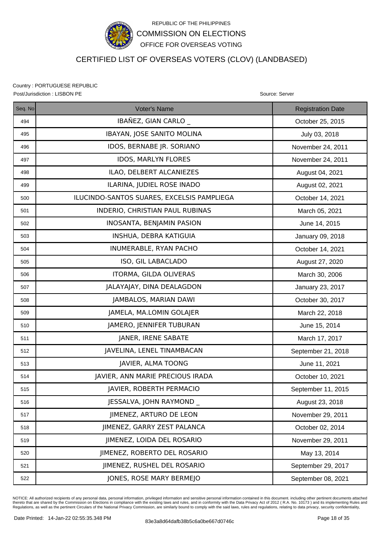

## CERTIFIED LIST OF OVERSEAS VOTERS (CLOV) (LANDBASED)

Country : PORTUGUESE REPUBLIC Post/Jurisdiction : LISBON PE **Source: Server** Source: Server Source: Server Source: Server

| Seq. No | <b>Voter's Name</b>                        | <b>Registration Date</b> |
|---------|--------------------------------------------|--------------------------|
| 494     | IBAÑEZ, GIAN CARLO                         | October 25, 2015         |
| 495     | IBAYAN, JOSE SANITO MOLINA                 | July 03, 2018            |
| 496     | IDOS, BERNABE JR. SORIANO                  | November 24, 2011        |
| 497     | <b>IDOS, MARLYN FLORES</b>                 | November 24, 2011        |
| 498     | ILAO, DELBERT ALCANIEZES                   | August 04, 2021          |
| 499     | ILARINA, JUDIEL ROSE INADO                 | August 02, 2021          |
| 500     | ILUCINDO-SANTOS SUARES, EXCELSIS PAMPLIEGA | October 14, 2021         |
| 501     | INDERIO, CHRISTIAN PAUL RUBINAS            | March 05, 2021           |
| 502     | INOSANTA, BENJAMIN PASION                  | June 14, 2015            |
| 503     | INSHUA, DEBRA KATIGUIA                     | January 09, 2018         |
| 504     | INUMERABLE, RYAN PACHO                     | October 14, 2021         |
| 505     | ISO, GIL LABACLADO                         | August 27, 2020          |
| 506     | ITORMA, GILDA OLIVERAS                     | March 30, 2006           |
| 507     | JALAYAJAY, DINA DEALAGDON                  | January 23, 2017         |
| 508     | JAMBALOS, MARIAN DAWI                      | October 30, 2017         |
| 509     | JAMELA, MA.LOMIN GOLAJER                   | March 22, 2018           |
| 510     | JAMERO, JENNIFER TUBURAN                   | June 15, 2014            |
| 511     | JANER, IRENE SABATE                        | March 17, 2017           |
| 512     | JAVELINA, LENEL TINAMBACAN                 | September 21, 2018       |
| 513     | JAVIER, ALMA TOONG                         | June 11, 2021            |
| 514     | JAVIER, ANN MARIE PRECIOUS IRADA           | October 10, 2021         |
| 515     | JAVIER, ROBERTH PERMACIO                   | September 11, 2015       |
| 516     | JESSALVA, JOHN RAYMOND                     | August 23, 2018          |
| 517     | JIMENEZ, ARTURO DE LEON                    | November 29, 2011        |
| 518     | JIMENEZ, GARRY ZEST PALANCA                | October 02, 2014         |
| 519     | JIMENEZ, LOIDA DEL ROSARIO                 | November 29, 2011        |
| 520     | JIMENEZ, ROBERTO DEL ROSARIO               | May 13, 2014             |
| 521     | JIMENEZ, RUSHEL DEL ROSARIO                | September 29, 2017       |
| 522     | JONES, ROSE MARY BERMEJO                   | September 08, 2021       |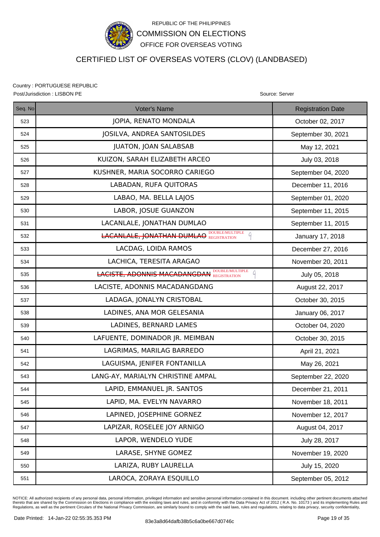

### CERTIFIED LIST OF OVERSEAS VOTERS (CLOV) (LANDBASED)

Country : PORTUGUESE REPUBLIC Post/Jurisdiction : LISBON PE **Source: Server** Source: Server Source: Server Source: Server

| Seq. No | <b>Voter's Name</b>                                     | <b>Registration Date</b> |
|---------|---------------------------------------------------------|--------------------------|
| 523     | JOPIA, RENATO MONDALA                                   | October 02, 2017         |
| 524     | JOSILVA, ANDREA SANTOSILDES                             | September 30, 2021       |
| 525     | JUATON, JOAN SALABSAB                                   | May 12, 2021             |
| 526     | KUIZON, SARAH ELIZABETH ARCEO                           | July 03, 2018            |
| 527     | KUSHNER, MARIA SOCORRO CARIEGO                          | September 04, 2020       |
| 528     | LABADAN, RUFA QUITORAS                                  | December 11, 2016        |
| 529     | LABAO, MA. BELLA LAJOS                                  | September 01, 2020       |
| 530     | LABOR, JOSUE GUANZON                                    | September 11, 2015       |
| 531     | LACANLALE, JONATHAN DUMLAO                              | September 11, 2015       |
| 532     | <b>LACANLALE, JONATHAN DUMLAO REGISTRATION</b><br>G     | January 17, 2018         |
| 533     | LACDAG, LOIDA RAMOS                                     | December 27, 2016        |
| 534     | LACHICA, TERESITA ARAGAO                                | November 20, 2011        |
| 535     | <b>LACISTE, ADONNIS MACADANGDAN DOUBLEMULTIPLE</b><br>Q | July 05, 2018            |
| 536     | LACISTE, ADONNIS MACADANGDANG                           | August 22, 2017          |
| 537     | LADAGA, JONALYN CRISTOBAL                               | October 30, 2015         |
| 538     | LADINES, ANA MOR GELESANIA                              | January 06, 2017         |
| 539     | LADINES, BERNARD LAMES                                  | October 04, 2020         |
| 540     | LAFUENTE, DOMINADOR JR. MEIMBAN                         | October 30, 2015         |
| 541     | LAGRIMAS, MARILAG BARREDO                               | April 21, 2021           |
| 542     | LAGUISMA, JENIFER FONTANILLA                            | May 26, 2021             |
| 543     | LANG-AY, MARIALYN CHRISTINE AMPAL                       | September 22, 2020       |
| 544     | LAPID, EMMANUEL JR. SANTOS                              | December 21, 2011        |
| 545     | LAPID, MA. EVELYN NAVARRO                               | November 18, 2011        |
| 546     | LAPINED, JOSEPHINE GORNEZ                               | November 12, 2017        |
| 547     | LAPIZAR, ROSELEE JOY ARNIGO                             | August 04, 2017          |
| 548     | LAPOR, WENDELO YUDE                                     | July 28, 2017            |
| 549     | LARASE, SHYNE GOMEZ                                     | November 19, 2020        |
| 550     | LARIZA, RUBY LAURELLA                                   | July 15, 2020            |
| 551     | LAROCA, ZORAYA ESQUILLO                                 | September 05, 2012       |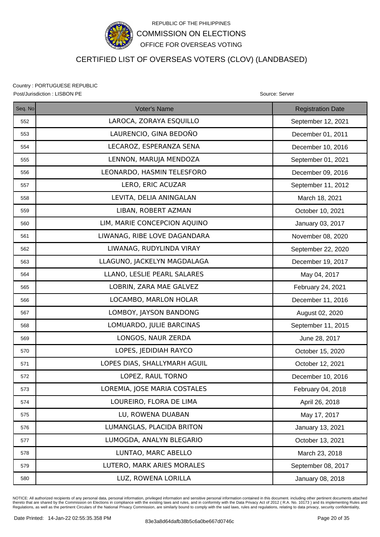

## CERTIFIED LIST OF OVERSEAS VOTERS (CLOV) (LANDBASED)

Country : PORTUGUESE REPUBLIC Post/Jurisdiction : LISBON PE **Source: Server** Source: Server Source: Server Source: Server

| Seq. No | Voter's Name                 | <b>Registration Date</b> |
|---------|------------------------------|--------------------------|
| 552     | LAROCA, ZORAYA ESQUILLO      | September 12, 2021       |
| 553     | LAURENCIO, GINA BEDOÑO       | December 01, 2011        |
| 554     | LECAROZ, ESPERANZA SENA      | December 10, 2016        |
| 555     | LENNON, MARUJA MENDOZA       | September 01, 2021       |
| 556     | LEONARDO, HASMIN TELESFORO   | December 09, 2016        |
| 557     | LERO, ERIC ACUZAR            | September 11, 2012       |
| 558     | LEVITA, DELIA ANINGALAN      | March 18, 2021           |
| 559     | LIBAN, ROBERT AZMAN          | October 10, 2021         |
| 560     | LIM, MARIE CONCEPCION AQUINO | January 03, 2017         |
| 561     | LIWANAG, RIBE LOVE DAGANDARA | November 08, 2020        |
| 562     | LIWANAG, RUDYLINDA VIRAY     | September 22, 2020       |
| 563     | LLAGUNO, JACKELYN MAGDALAGA  | December 19, 2017        |
| 564     | LLANO, LESLIE PEARL SALARES  | May 04, 2017             |
| 565     | LOBRIN, ZARA MAE GALVEZ      | February 24, 2021        |
| 566     | LOCAMBO, MARLON HOLAR        | December 11, 2016        |
| 567     | LOMBOY, JAYSON BANDONG       | August 02, 2020          |
| 568     | LOMUARDO, JULIE BARCINAS     | September 11, 2015       |
| 569     | LONGOS, NAUR ZERDA           | June 28, 2017            |
| 570     | LOPES, JEDIDIAH RAYCO        | October 15, 2020         |
| 571     | LOPES DIAS, SHALLYMARH AGUIL | October 12, 2021         |
| 572     | LOPEZ, RAUL TORNO            | December 10, 2016        |
| 573     | LOREMIA, JOSE MARIA COSTALES | February 04, 2018        |
| 574     | LOUREIRO, FLORA DE LIMA      | April 26, 2018           |
| 575     | LU, ROWENA DUABAN            | May 17, 2017             |
| 576     | LUMANGLAS, PLACIDA BRITON    | January 13, 2021         |
| 577     | LUMOGDA, ANALYN BLEGARIO     | October 13, 2021         |
| 578     | LUNTAO, MARC ABELLO          | March 23, 2018           |
| 579     | LUTERO, MARK ARIES MORALES   | September 08, 2017       |
| 580     | LUZ, ROWENA LORILLA          | January 08, 2018         |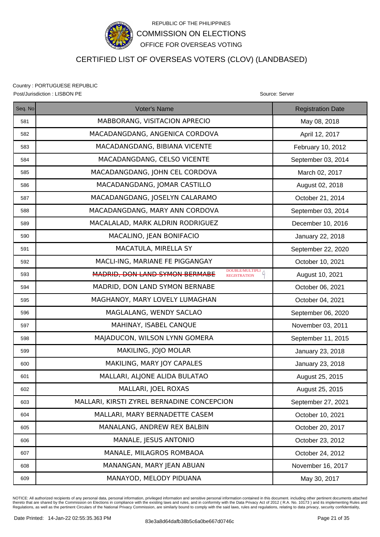

### CERTIFIED LIST OF OVERSEAS VOTERS (CLOV) (LANDBASED)

Country : PORTUGUESE REPUBLIC Post/Jurisdiction : LISBON PE **Source: Server** Source: Server Source: Server Source: Server

| Seq. No | Voter's Name                                                             | <b>Registration Date</b> |
|---------|--------------------------------------------------------------------------|--------------------------|
| 581     | MABBORANG, VISITACION APRECIO                                            | May 08, 2018             |
| 582     | MACADANGDANG, ANGENICA CORDOVA                                           | April 12, 2017           |
| 583     | MACADANGDANG, BIBIANA VICENTE                                            | February 10, 2012        |
| 584     | MACADANGDANG, CELSO VICENTE                                              | September 03, 2014       |
| 585     | MACADANGDANG, JOHN CEL CORDOVA                                           | March 02, 2017           |
| 586     | MACADANGDANG, JOMAR CASTILLO                                             | August 02, 2018          |
| 587     | MACADANGDANG, JOSELYN CALARAMO                                           | October 21, 2014         |
| 588     | MACADANGDANG, MARY ANN CORDOVA                                           | September 03, 2014       |
| 589     | MACALALAD, MARK ALDRIN RODRIGUEZ                                         | December 10, 2016        |
| 590     | MACALINO, JEAN BONIFACIO                                                 | January 22, 2018         |
| 591     | MACATULA, MIRELLA SY                                                     | September 22, 2020       |
| 592     | MACLI-ING, MARIANE FE PIGGANGAY                                          | October 10, 2021         |
| 593     | DOUBLE/MULTIPLI<br>MADRID, DON LAND SYMON BERMABE<br><b>REGISTRATION</b> | August 10, 2021          |
| 594     | MADRID, DON LAND SYMON BERNABE                                           | October 06, 2021         |
| 595     | MAGHANOY, MARY LOVELY LUMAGHAN                                           | October 04, 2021         |
| 596     | MAGLALANG, WENDY SACLAO                                                  | September 06, 2020       |
| 597     | MAHINAY, ISABEL CANQUE                                                   | November 03, 2011        |
| 598     | MAJADUCON, WILSON LYNN GOMERA                                            | September 11, 2015       |
| 599     | MAKILING, JOJO MOLAR                                                     | January 23, 2018         |
| 600     | MAKILING, MARY JOY CAPALES                                               | January 23, 2018         |
| 601     | MALLARI, ALJONE ALIDA BULATAO                                            | August 25, 2015          |
| 602     | MALLARI, JOEL ROXAS                                                      | August 25, 2015          |
| 603     | MALLARI, KIRSTI ZYREL BERNADINE CONCEPCION                               | September 27, 2021       |
| 604     | MALLARI, MARY BERNADETTE CASEM                                           | October 10, 2021         |
| 605     | MANALANG, ANDREW REX BALBIN                                              | October 20, 2017         |
| 606     | MANALE, JESUS ANTONIO                                                    | October 23, 2012         |
| 607     | MANALE, MILAGROS ROMBAOA                                                 | October 24, 2012         |
| 608     | MANANGAN, MARY JEAN ABUAN                                                | November 16, 2017        |
| 609     | MANAYOD, MELODY PIDUANA                                                  | May 30, 2017             |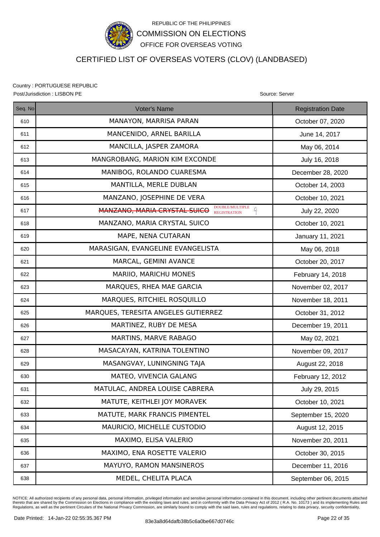

## CERTIFIED LIST OF OVERSEAS VOTERS (CLOV) (LANDBASED)

Country : PORTUGUESE REPUBLIC Post/Jurisdiction : LISBON PE **Source: Server** Source: Server Source: Server Source: Server

| Seq. No | <b>Voter's Name</b>                                                                | <b>Registration Date</b> |
|---------|------------------------------------------------------------------------------------|--------------------------|
| 610     | MANAYON, MARRISA PARAN                                                             | October 07, 2020         |
| 611     | MANCENIDO, ARNEL BARILLA                                                           | June 14, 2017            |
| 612     | MANCILLA, JASPER ZAMORA                                                            | May 06, 2014             |
| 613     | MANGROBANG, MARION KIM EXCONDE                                                     | July 16, 2018            |
| 614     | MANIBOG, ROLANDO CUARESMA                                                          | December 28, 2020        |
| 615     | MANTILLA, MERLE DUBLAN                                                             | October 14, 2003         |
| 616     | MANZANO, JOSEPHINE DE VERA                                                         | October 10, 2021         |
| 617     | DOUBLE/MULTIPLE<br>$\Omega$<br>MANZANO, MARIA CRYSTAL SUICO<br><b>REGISTRATION</b> | July 22, 2020            |
| 618     | MANZANO, MARIA CRYSTAL SUICO                                                       | October 10, 2021         |
| 619     | MAPE, NENA CUTARAN                                                                 | January 11, 2021         |
| 620     | MARASIGAN, EVANGELINE EVANGELISTA                                                  | May 06, 2018             |
| 621     | MARCAL, GEMINI AVANCE                                                              | October 20, 2017         |
| 622     | MARIIO, MARICHU MONES                                                              | February 14, 2018        |
| 623     | MARQUES, RHEA MAE GARCIA                                                           | November 02, 2017        |
| 624     | MARQUES, RITCHIEL ROSQUILLO                                                        | November 18, 2011        |
| 625     | MARQUES, TERESITA ANGELES GUTIERREZ                                                | October 31, 2012         |
| 626     | MARTINEZ, RUBY DE MESA                                                             | December 19, 2011        |
| 627     | MARTINS, MARVE RABAGO                                                              | May 02, 2021             |
| 628     | MASACAYAN, KATRINA TOLENTINO                                                       | November 09, 2017        |
| 629     | MASANGVAY, LUNINGNING TAJA                                                         | August 22, 2018          |
| 630     | MATEO, VIVENCIA GALANG                                                             | February 12, 2012        |
| 631     | MATULAC, ANDREA LOUISE CABRERA                                                     | July 29, 2015            |
| 632     | MATUTE, KEITHLEI JOY MORAVEK                                                       | October 10, 2021         |
| 633     | MATUTE, MARK FRANCIS PIMENTEL                                                      | September 15, 2020       |
| 634     | MAURICIO, MICHELLE CUSTODIO                                                        | August 12, 2015          |
| 635     | MAXIMO, ELISA VALERIO                                                              | November 20, 2011        |
| 636     | MAXIMO, ENA ROSETTE VALERIO                                                        | October 30, 2015         |
| 637     | MAYUYO, RAMON MANSINEROS                                                           | December 11, 2016        |
| 638     | MEDEL, CHELITA PLACA                                                               | September 06, 2015       |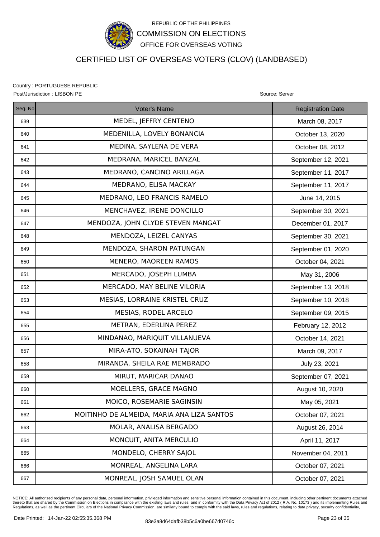

## CERTIFIED LIST OF OVERSEAS VOTERS (CLOV) (LANDBASED)

Country : PORTUGUESE REPUBLIC Post/Jurisdiction : LISBON PE **Source: Server** Source: Server Source: Server Source: Server

| Seq. No | Voter's Name                               | <b>Registration Date</b> |
|---------|--------------------------------------------|--------------------------|
| 639     | MEDEL, JEFFRY CENTENO                      | March 08, 2017           |
| 640     | MEDENILLA, LOVELY BONANCIA                 | October 13, 2020         |
| 641     | MEDINA, SAYLENA DE VERA                    | October 08, 2012         |
| 642     | MEDRANA, MARICEL BANZAL                    | September 12, 2021       |
| 643     | MEDRANO, CANCINO ARILLAGA                  | September 11, 2017       |
| 644     | MEDRANO, ELISA MACKAY                      | September 11, 2017       |
| 645     | MEDRANO, LEO FRANCIS RAMELO                | June 14, 2015            |
| 646     | MENCHAVEZ, IRENE DONCILLO                  | September 30, 2021       |
| 647     | MENDOZA, JOHN CLYDE STEVEN MANGAT          | December 01, 2017        |
| 648     | MENDOZA, LEIZEL CANYAS                     | September 30, 2021       |
| 649     | MENDOZA, SHARON PATUNGAN                   | September 01, 2020       |
| 650     | MENERO, MAOREEN RAMOS                      | October 04, 2021         |
| 651     | MERCADO, JOSEPH LUMBA                      | May 31, 2006             |
| 652     | MERCADO, MAY BELINE VILORIA                | September 13, 2018       |
| 653     | MESIAS, LORRAINE KRISTEL CRUZ              | September 10, 2018       |
| 654     | MESIAS, RODEL ARCELO                       | September 09, 2015       |
| 655     | METRAN, EDERLINA PEREZ                     | February 12, 2012        |
| 656     | MINDANAO, MARIQUIT VILLANUEVA              | October 14, 2021         |
| 657     | MIRA-ATO, SOKAINAH TAJOR                   | March 09, 2017           |
| 658     | MIRANDA, SHEILA RAE MEMBRADO               | July 23, 2021            |
| 659     | MIRUT, MARICAR DANAO                       | September 07, 2021       |
| 660     | MOELLERS, GRACE MAGNO                      | August 10, 2020          |
| 661     | MOICO, ROSEMARIE SAGINSIN                  | May 05, 2021             |
| 662     | MOITINHO DE ALMEIDA, MARIA ANA LIZA SANTOS | October 07, 2021         |
| 663     | MOLAR, ANALISA BERGADO                     | August 26, 2014          |
| 664     | MONCUIT, ANITA MERCULIO                    | April 11, 2017           |
| 665     | MONDELO, CHERRY SAJOL                      | November 04, 2011        |
| 666     | MONREAL, ANGELINA LARA                     | October 07, 2021         |
| 667     | MONREAL, JOSH SAMUEL OLAN                  | October 07, 2021         |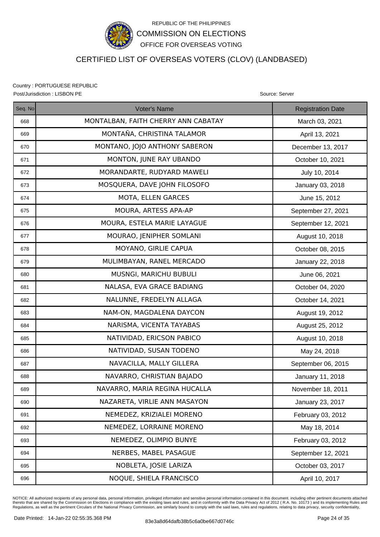

# CERTIFIED LIST OF OVERSEAS VOTERS (CLOV) (LANDBASED)

Country : PORTUGUESE REPUBLIC Post/Jurisdiction : LISBON PE Source: Server Source: Server Source: Server Source: Server

Seq. No **Registration Date Contact Contact Voter's Name** Registration Date Registration Date 668 | MONTALBAN, FAITH CHERRY ANN CABATAY MILLET March 03, 2021 669 | MONTAÑA, CHRISTINA TALAMOR | April 13, 2021 670 MONTANO, JOJO ANTHONY SABERON December 13, 2017 671 | MONTON, JUNE RAY UBANDO | October 10, 2021 672 | MORANDARTE, RUDYARD MAWELI | July 10, 2014 673 | MOSQUERA, DAVE JOHN FILOSOFO | January 03, 2018 674 MOTA, ELLEN GARCES June 15, 2012 675 | MOURA, ARTESS APA-AP | September 27, 2021 676 | MOURA, ESTELA MARIE LAYAGUE | September 12, 2021 677 | MOURAO, JENIPHER SOMLANI | August 10, 2018 678 | CHE CAPUA OCTOBER 08, 2015 679 | MULIMBAYAN, RANEL MERCADO | January 22, 2018 680 | MUSNGI, MARICHU BUBULI | June 06, 2021 681 NALASA, EVA GRACE BADIANG **NALASA, EVA GRACE BADIANG** 682 NALUNNE, FREDELYN ALLAGA **CONSECTED ALLAGE REDUCTS** 683 | NAM-ON, MAGDALENA DAYCON | August 19, 2012 684 | NARISMA, VICENTA TAYABAS | August 25, 2012 685 NATIVIDAD, ERICSON PABICO August 10, 2018 686 | NATIVIDAD, SUSAN TODENO | May 24, 2018 687 NAVACILLA, MALLY GILLERA September 06, 2015

| vv, |                               | OUPIUITIDUI UU, LUTU |
|-----|-------------------------------|----------------------|
| 688 | NAVARRO, CHRISTIAN BAJADO     | January 11, 2018     |
| 689 | NAVARRO, MARIA REGINA HUCALLA | November 18, 2011    |
| 690 | NAZARETA, VIRLIE ANN MASAYON  | January 23, 2017     |
| 691 | NEMEDEZ, KRIZIALEI MORENO     | February 03, 2012    |
| 692 | NEMEDEZ, LORRAINE MORENO      | May 18, 2014         |
| 693 | NEMEDEZ, OLIMPIO BUNYE        | February 03, 2012    |
| 694 | NERBES, MABEL PASAGUE         | September 12, 2021   |
| 695 | NOBLETA, JOSIE LARIZA         | October 03, 2017     |
| 696 | NOQUE, SHIELA FRANCISCO       | April 10, 2017       |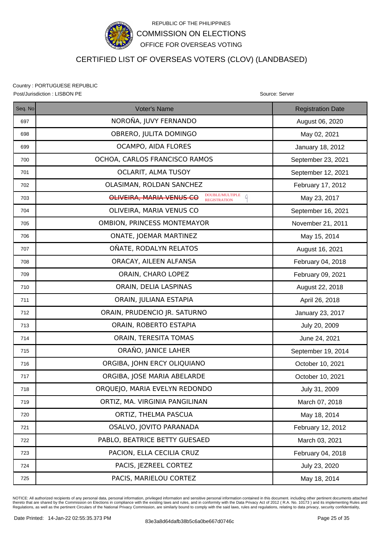

## CERTIFIED LIST OF OVERSEAS VOTERS (CLOV) (LANDBASED)

Country : PORTUGUESE REPUBLIC Post/Jurisdiction : LISBON PE **Source: Server** Source: Server Source: Server Source: Server

| Seq. No | <b>Voter's Name</b>                                                                            | <b>Registration Date</b> |
|---------|------------------------------------------------------------------------------------------------|--------------------------|
| 697     | NOROÑA, JUVY FERNANDO                                                                          | August 06, 2020          |
| 698     | OBRERO, JULITA DOMINGO                                                                         | May 02, 2021             |
| 699     | OCAMPO, AIDA FLORES                                                                            | January 18, 2012         |
| 700     | OCHOA, CARLOS FRANCISCO RAMOS                                                                  | September 23, 2021       |
| 701     | <b>OCLARIT, ALMA TUSOY</b>                                                                     | September 12, 2021       |
| 702     | OLASIMAN, ROLDAN SANCHEZ                                                                       | February 17, 2012        |
| 703     | $\textbf{DOUBLE/MULTIPLE}$<br>$\mathcal{L}$<br>OLIVEIRA, MARIA VENUS CO<br><b>REGISTRATION</b> | May 23, 2017             |
| 704     | OLIVEIRA, MARIA VENUS CO                                                                       | September 16, 2021       |
| 705     | OMBION, PRINCESS MONTEMAYOR                                                                    | November 21, 2011        |
| 706     | ONATE, JOEMAR MARTINEZ                                                                         | May 15, 2014             |
| 707     | OÑATE, RODALYN RELATOS                                                                         | August 16, 2021          |
| 708     | ORACAY, AILEEN ALFANSA                                                                         | February 04, 2018        |
| 709     | ORAIN, CHARO LOPEZ                                                                             | February 09, 2021        |
| 710     | ORAIN, DELIA LASPINAS                                                                          | August 22, 2018          |
| 711     | ORAIN, JULIANA ESTAPIA                                                                         | April 26, 2018           |
| 712     | ORAIN, PRUDENCIO JR. SATURNO                                                                   | January 23, 2017         |
| 713     | ORAIN, ROBERTO ESTAPIA                                                                         | July 20, 2009            |
| 714     | ORAIN, TERESITA TOMAS                                                                          | June 24, 2021            |
| 715     | ORAÑO, JANICE LAHER                                                                            | September 19, 2014       |
| 716     | ORGIBA, JOHN ERCY OLIQUIANO                                                                    | October 10, 2021         |
| 717     | ORGIBA, JOSE MARIA ABELARDE                                                                    | October 10, 2021         |
| 718     | ORQUEJO, MARIA EVELYN REDONDO                                                                  | July 31, 2009            |
| 719     | ORTIZ, MA. VIRGINIA PANGILINAN                                                                 | March 07, 2018           |
| 720     | ORTIZ, THELMA PASCUA                                                                           | May 18, 2014             |
| 721     | OSALVO, JOVITO PARANADA                                                                        | February 12, 2012        |
| 722     | PABLO, BEATRICE BETTY GUESAED                                                                  | March 03, 2021           |
| 723     | PACION, ELLA CECILIA CRUZ                                                                      | February 04, 2018        |
| 724     | PACIS, JEZREEL CORTEZ                                                                          | July 23, 2020            |
| 725     | PACIS, MARIELOU CORTEZ                                                                         | May 18, 2014             |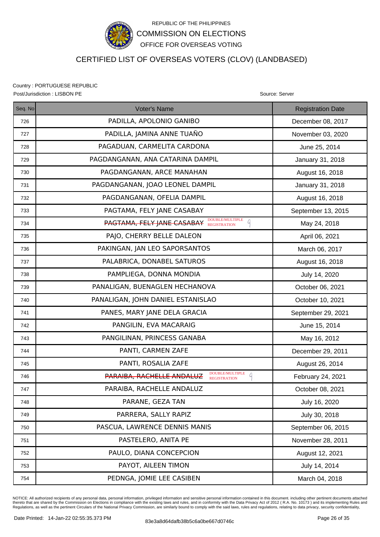

## CERTIFIED LIST OF OVERSEAS VOTERS (CLOV) (LANDBASED)

Country : PORTUGUESE REPUBLIC Post/Jurisdiction : LISBON PE Source: Server

| Seq. No | Voter's Name                                                             | <b>Registration Date</b> |
|---------|--------------------------------------------------------------------------|--------------------------|
| 726     | PADILLA, APOLONIO GANIBO                                                 | December 08, 2017        |
| 727     | PADILLA, JAMINA ANNE TUAÑO                                               | November 03, 2020        |
| 728     | PAGADUAN, CARMELITA CARDONA                                              | June 25, 2014            |
| 729     | PAGDANGANAN, ANA CATARINA DAMPIL                                         | January 31, 2018         |
| 730     | PAGDANGANAN, ARCE MANAHAN                                                | August 16, 2018          |
| 731     | PAGDANGANAN, JOAO LEONEL DAMPIL                                          | January 31, 2018         |
| 732     | PAGDANGANAN, OFELIA DAMPIL                                               | August 16, 2018          |
| 733     | PAGTAMA, FELY JANE CASABAY                                               | September 13, 2015       |
| 734     | <b>PAGTAMA, FELY JANE CASABAY DOUBLEMULTIPLE</b><br>A                    | May 24, 2018             |
| 735     | PAJO, CHERRY BELLE DALEON                                                | April 06, 2021           |
| 736     | PAKINGAN, JAN LEO SAPORSANTOS                                            | March 06, 2017           |
| 737     | PALABRICA, DONABEL SATUROS                                               | August 16, 2018          |
| 738     | PAMPLIEGA, DONNA MONDIA                                                  | July 14, 2020            |
| 739     | PANALIGAN, BUENAGLEN HECHANOVA                                           | October 06, 2021         |
| 740     | PANALIGAN, JOHN DANIEL ESTANISLAO                                        | October 10, 2021         |
| 741     | PANES, MARY JANE DELA GRACIA                                             | September 29, 2021       |
| 742     | PANGILIN, EVA MACARAIG                                                   | June 15, 2014            |
| 743     | PANGILINAN, PRINCESS GANABA                                              | May 16, 2012             |
| 744     | PANTI, CARMEN ZAFE                                                       | December 29, 2011        |
| 745     | PANTI, ROSALIA ZAFE                                                      | August 26, 2014          |
| 746     | DOUBLE/MULTIPLE<br>Q<br>PARAIBA, RACHELLE ANDALUZ<br><b>REGISTRATION</b> | February 24, 2021        |
| 747     | PARAIBA, RACHELLE ANDALUZ                                                | October 08, 2021         |
| 748     | PARANE, GEZA TAN                                                         | July 16, 2020            |
| 749     | PARRERA, SALLY RAPIZ                                                     | July 30, 2018            |
| 750     | PASCUA, LAWRENCE DENNIS MANIS                                            | September 06, 2015       |
| 751     | PASTELERO, ANITA PE                                                      | November 28, 2011        |
| 752     | PAULO, DIANA CONCEPCION                                                  | August 12, 2021          |
| 753     | PAYOT, AILEEN TIMON                                                      | July 14, 2014            |
| 754     | PEDNGA, JOMIE LEE CASIBEN                                                | March 04, 2018           |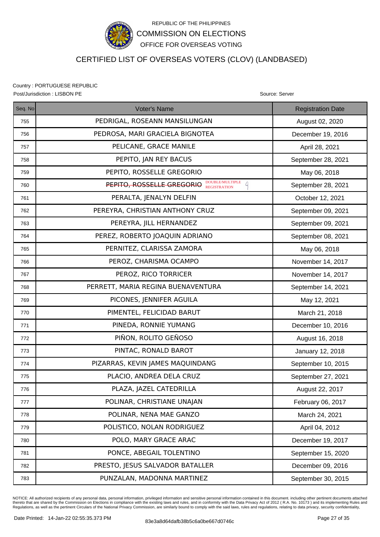

### CERTIFIED LIST OF OVERSEAS VOTERS (CLOV) (LANDBASED)

Country : PORTUGUESE REPUBLIC Post/Jurisdiction : LISBON PE Source: Server Source: Server Source: Server Source: Server

Seq. No **Registration Date Contact Contact Voter's Name** Registration Date Registration Date 755 | PEDRIGAL, ROSEANN MANSILUNGAN | August 02, 2020 756 | PEDROSA, MARI GRACIELA BIGNOTEA | December 19, 2016 757 | PELICANE, GRACE MANILE | April 28, 2021 758 PEPITO, JAN REY BACUS September 28, 2021 759 | PEPITO, ROSSELLE GREGORIO | May 06, 2018 760  $\parallel$  September 28, 2021 761 PERALTA, JENALYN DELFIN October 12, 2021 762 | PEREYRA, CHRISTIAN ANTHONY CRUZ | September 09, 2021 763 PEREYRA, JILL HERNANDEZ September 09, 2021 764 PEREZ, ROBERTO JOAQUIN ADRIANO September 08, 2021 765 PERNITEZ, CLARISSA ZAMORA May 06, 2018 766 | PEROZ, CHARISMA OCAMPO | November 14, 2017 767 November 14, 2017 | November 14, 2017 768 | PERRETT, MARIA REGINA BUENAVENTURA | September 14, 2021 769 | PICONES, JENNIFER AGUILA | May 12, 2021 770 PIMENTEL, FELICIDAD BARUT March 21, 2018 771 | PINEDA, RONNIE YUMANG | December 10, 2016 772 | PIÑON, ROLITO GEÑOSO | August 16, 2018 773 | PINTAC, RONALD BAROT | January 12, 2018 774 | PIZARRAS, KEVIN JAMES MAQUINDANG | September 10, 2015 775 | PLACIO, ANDREA DELA CRUZ | September 27, 2021 776 | PLAZA, JAZEL CATEDRILLA | August 22, 2017 777 | POLINAR, CHRISTIANE UNAJAN | February 06, 2017 778 POLINAR, NENA MAE GANZO March 24, 2021 779 | POLISTICO, NOLAN RODRIGUEZ | April 04, 2012 780 POLO, MARY GRACE ARAC December 19, 2017 781 PONCE, ABEGAIL TOLENTINO September 15, 2020 782 PRESTO, JESUS SALVADOR BATALLER December 09, 2016 783 | PUNZALAN, MADONNA MARTINEZ | September 30, 2015 REGISTRATION

NOTICE: All authorized recipients of any personal data, personal information, privileged information and sensitive personal information contained in this document, including other pertinent documents attached thereto that are shared by the Commission on Elections in compliance with the existing laws and rules, and in conformity with the Data Privacy Act of 2012 ( R.A. No. 10173 ) and its implementing Rules and<br>Regulations, as w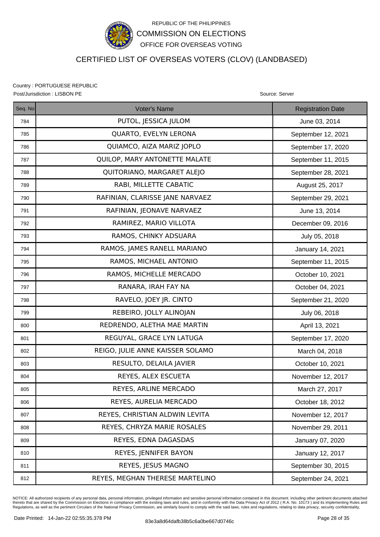

## CERTIFIED LIST OF OVERSEAS VOTERS (CLOV) (LANDBASED)

Country : PORTUGUESE REPUBLIC Post/Jurisdiction : LISBON PE **Source: Server** Source: Server Source: Server Source: Server

| Seq. No | <b>Voter's Name</b>              | <b>Registration Date</b> |
|---------|----------------------------------|--------------------------|
| 784     | PUTOL, JESSICA JULOM             | June 03, 2014            |
| 785     | QUARTO, EVELYN LERONA            | September 12, 2021       |
| 786     | QUIAMCO, AIZA MARIZ JOPLO        | September 17, 2020       |
| 787     | QUILOP, MARY ANTONETTE MALATE    | September 11, 2015       |
| 788     | QUITORIANO, MARGARET ALEJO       | September 28, 2021       |
| 789     | RABI, MILLETTE CABATIC           | August 25, 2017          |
| 790     | RAFINIAN, CLARISSE JANE NARVAEZ  | September 29, 2021       |
| 791     | RAFINIAN, JEONAVE NARVAEZ        | June 13, 2014            |
| 792     | RAMIREZ, MARIO VILLOTA           | December 09, 2016        |
| 793     | RAMOS, CHINKY ADSUARA            | July 05, 2018            |
| 794     | RAMOS, JAMES RANELL MARIANO      | January 14, 2021         |
| 795     | RAMOS, MICHAEL ANTONIO           | September 11, 2015       |
| 796     | RAMOS, MICHELLE MERCADO          | October 10, 2021         |
| 797     | RANARA, IRAH FAY NA              | October 04, 2021         |
| 798     | RAVELO, JOEY JR. CINTO           | September 21, 2020       |
| 799     | REBEIRO, JOLLY ALINOJAN          | July 06, 2018            |
| 800     | REDRENDO, ALETHA MAE MARTIN      | April 13, 2021           |
| 801     | REGUYAL, GRACE LYN LATUGA        | September 17, 2020       |
| 802     | REIGO, JULIE ANNE KAISSER SOLAMO | March 04, 2018           |
| 803     | RESULTO, DELAILA JAVIER          | October 10, 2021         |
| 804     | REYES, ALEX ESCUETA              | November 12, 2017        |
| 805     | REYES, ARLINE MERCADO            | March 27, 2017           |
| 806     | REYES, AURELIA MERCADO           | October 18, 2012         |
| 807     | REYES, CHRISTIAN ALDWIN LEVITA   | November 12, 2017        |
| 808     | REYES, CHRYZA MARIE ROSALES      | November 29, 2011        |
| 809     | REYES, EDNA DAGASDAS             | January 07, 2020         |
| 810     | REYES, JENNIFER BAYON            | January 12, 2017         |
| 811     | REYES, JESUS MAGNO               | September 30, 2015       |
| 812     | REYES, MEGHAN THERESE MARTELINO  | September 24, 2021       |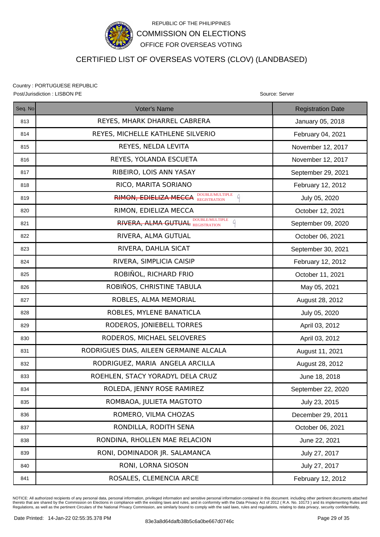

### CERTIFIED LIST OF OVERSEAS VOTERS (CLOV) (LANDBASED)

Country : PORTUGUESE REPUBLIC Post/Jurisdiction : LISBON PE **Source: Server** Source: Server Source: Server Source: Server

| Seq. No | Voter's Name                                      | <b>Registration Date</b> |
|---------|---------------------------------------------------|--------------------------|
| 813     | REYES, MHARK DHARREL CABRERA                      | January 05, 2018         |
| 814     | REYES, MICHELLE KATHLENE SILVERIO                 | February 04, 2021        |
| 815     | REYES, NELDA LEVITA                               | November 12, 2017        |
| 816     | REYES, YOLANDA ESCUETA                            | November 12, 2017        |
| 817     | RIBEIRO, LOIS ANN YASAY                           | September 29, 2021       |
| 818     | RICO, MARITA SORIANO                              | February 12, 2012        |
| 819     | <b>RIMON, EDIELIZA MECCA DOUBLE/MULTIPLE</b><br>A | July 05, 2020            |
| 820     | RIMON, EDIELIZA MECCA                             | October 12, 2021         |
| 821     | <b>RIVERA, ALMA GUTUAL DOUBLE/MULTIPLE</b>        | September 09, 2020       |
| 822     | RIVERA, ALMA GUTUAL                               | October 06, 2021         |
| 823     | RIVERA, DAHLIA SICAT                              | September 30, 2021       |
| 824     | RIVERA, SIMPLICIA CAISIP                          | February 12, 2012        |
| 825     | ROBIÑOL, RICHARD FRIO                             | October 11, 2021         |
| 826     | ROBIÑOS, CHRISTINE TABULA                         | May 05, 2021             |
| 827     | ROBLES, ALMA MEMORIAL                             | August 28, 2012          |
| 828     | ROBLES, MYLENE BANATICLA                          | July 05, 2020            |
| 829     | RODEROS, JONIEBELL TORRES                         | April 03, 2012           |
| 830     | RODEROS, MICHAEL SELOVERES                        | April 03, 2012           |
| 831     | RODRIGUES DIAS, AILEEN GERMAINE ALCALA            | August 11, 2021          |
| 832     | RODRIGUEZ, MARIA ANGELA ARCILLA                   | August 28, 2012          |
| 833     | ROEHLEN, STACY YORADYL DELA CRUZ                  | June 18, 2018            |
| 834     | ROLEDA, JENNY ROSE RAMIREZ                        | September 22, 2020       |
| 835     | ROMBAOA, JULIETA MAGTOTO                          | July 23, 2015            |
| 836     | ROMERO, VILMA CHOZAS                              | December 29, 2011        |
| 837     | RONDILLA, RODITH SENA                             | October 06, 2021         |
| 838     | RONDINA, RHOLLEN MAE RELACION                     | June 22, 2021            |
| 839     | RONI, DOMINADOR JR. SALAMANCA                     | July 27, 2017            |
| 840     | RONI, LORNA SIOSON                                | July 27, 2017            |
| 841     | ROSALES, CLEMENCIA ARCE                           | February 12, 2012        |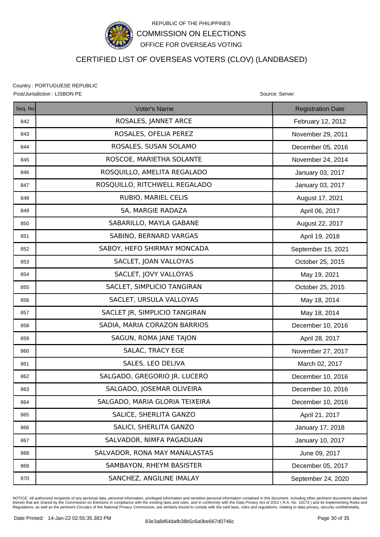

## CERTIFIED LIST OF OVERSEAS VOTERS (CLOV) (LANDBASED)

Country : PORTUGUESE REPUBLIC Post/Jurisdiction : LISBON PE **Source: Server** Source: Server Source: Server Source: Server

| Seq. No | Voter's Name                   | <b>Registration Date</b> |
|---------|--------------------------------|--------------------------|
| 842     | ROSALES, JANNET ARCE           | February 12, 2012        |
| 843     | ROSALES, OFELIA PEREZ          | November 29, 2011        |
| 844     | ROSALES, SUSAN SOLAMO          | December 05, 2016        |
| 845     | ROSCOE, MARIETHA SOLANTE       | November 24, 2014        |
| 846     | ROSQUILLO, AMELITA REGALADO    | January 03, 2017         |
| 847     | ROSQUILLO, RITCHWELL REGALADO  | January 03, 2017         |
| 848     | RUBIO, MARIEL CELIS            | August 17, 2021          |
| 849     | SA, MARGIE RADAZA              | April 06, 2017           |
| 850     | SABARILLO, MAYLA GABANE        | August 22, 2017          |
| 851     | SABINO, BERNARD VARGAS         | April 19, 2018           |
| 852     | SABOY, HEFO SHIRMAY MONCADA    | September 15, 2021       |
| 853     | SACLET, JOAN VALLOYAS          | October 25, 2015         |
| 854     | SACLET, JOVY VALLOYAS          | May 19, 2021             |
| 855     | SACLET, SIMPLICIO TANGIRAN     | October 25, 2015         |
| 856     | SACLET, URSULA VALLOYAS        | May 18, 2014             |
| 857     | SACLET JR, SIMPLICIO TANGIRAN  | May 18, 2014             |
| 858     | SADIA, MARIA CORAZON BARRIOS   | December 10, 2016        |
| 859     | SAGUN, ROMA JANE TAJON         | April 28, 2017           |
| 860     | SALAC, TRACY EGE               | November 27, 2017        |
| 861     | SALES, LEO DELIVA              | March 02, 2017           |
| 862     | SALGADO, GREGORIO JR. LUCERO   | December 10, 2016        |
| 863     | SALGADO, JOSEMAR OLIVEIRA      | December 10, 2016        |
| 864     | SALGADO, MARIA GLORIA TEIXEIRA | December 10, 2016        |
| 865     | SALICE, SHERLITA GANZO         | April 21, 2017           |
| 866     | SALICI, SHERLITA GANZO         | January 17, 2018         |
| 867     | SALVADOR, NIMFA PAGADUAN       | January 10, 2017         |
| 868     | SALVADOR, RONA MAY MANALASTAS  | June 09, 2017            |
| 869     | SAMBAYON, RHEYM BASISTER       | December 05, 2017        |
| 870     | SANCHEZ, ANGILINE IMALAY       | September 24, 2020       |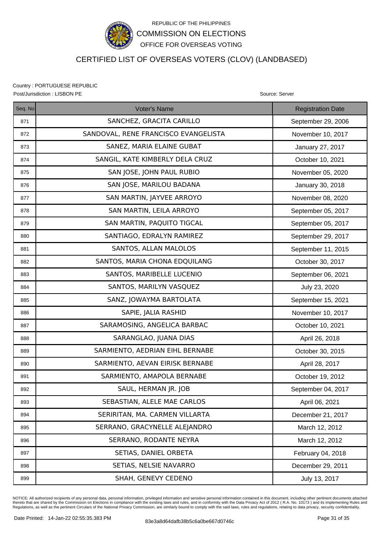

## CERTIFIED LIST OF OVERSEAS VOTERS (CLOV) (LANDBASED)

Country : PORTUGUESE REPUBLIC Post/Jurisdiction : LISBON PE **Source: Server** Source: Server Source: Server Source: Server

| Seq. No | Voter's Name                         | <b>Registration Date</b> |
|---------|--------------------------------------|--------------------------|
| 871     | SANCHEZ, GRACITA CARILLO             | September 29, 2006       |
| 872     | SANDOVAL, RENE FRANCISCO EVANGELISTA | November 10, 2017        |
| 873     | SANEZ, MARIA ELAINE GUBAT            | January 27, 2017         |
| 874     | SANGIL, KATE KIMBERLY DELA CRUZ      | October 10, 2021         |
| 875     | SAN JOSE, JOHN PAUL RUBIO            | November 05, 2020        |
| 876     | SAN JOSE, MARILOU BADANA             | January 30, 2018         |
| 877     | SAN MARTIN, JAYVEE ARROYO            | November 08, 2020        |
| 878     | SAN MARTIN, LEILA ARROYO             | September 05, 2017       |
| 879     | SAN MARTIN, PAQUITO TIGCAL           | September 05, 2017       |
| 880     | SANTIAGO, EDRALYN RAMIREZ            | September 29, 2017       |
| 881     | SANTOS, ALLAN MALOLOS                | September 11, 2015       |
| 882     | SANTOS, MARIA CHONA EDQUILANG        | October 30, 2017         |
| 883     | SANTOS, MARIBELLE LUCENIO            | September 06, 2021       |
| 884     | SANTOS, MARILYN VASQUEZ              | July 23, 2020            |
| 885     | SANZ, JOWAYMA BARTOLATA              | September 15, 2021       |
| 886     | SAPIE, JALIA RASHID                  | November 10, 2017        |
| 887     | SARAMOSING, ANGELICA BARBAC          | October 10, 2021         |
| 888     | SARANGLAO, JUANA DIAS                | April 26, 2018           |
| 889     | SARMIENTO, AEDRIAN EIHL BERNABE      | October 30, 2015         |
| 890     | SARMIENTO, AEVAN EIRISK BERNABE      | April 28, 2017           |
| 891     | SARMIENTO, AMAPOLA BERNABE           | October 19, 2012         |
| 892     | SAUL, HERMAN JR. JOB                 | September 04, 2017       |
| 893     | SEBASTIAN, ALELE MAE CARLOS          | April 06, 2021           |
| 894     | SERIRITAN, MA. CARMEN VILLARTA       | December 21, 2017        |
| 895     | SERRANO, GRACYNELLE ALEJANDRO        | March 12, 2012           |
| 896     | SERRANO, RODANTE NEYRA               | March 12, 2012           |
| 897     | SETIAS, DANIEL ORBETA                | February 04, 2018        |
| 898     | SETIAS, NELSIE NAVARRO               | December 29, 2011        |
| 899     | SHAH, GENEVY CEDENO                  | July 13, 2017            |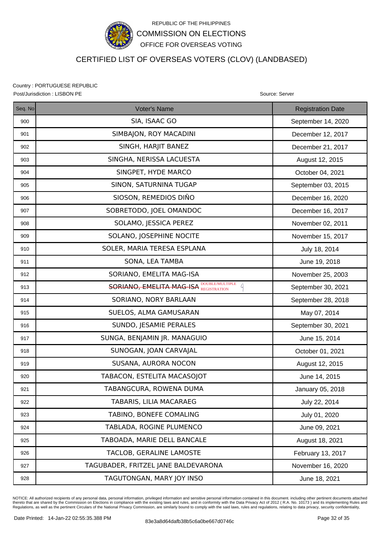

# CERTIFIED LIST OF OVERSEAS VOTERS (CLOV) (LANDBASED)

Country : PORTUGUESE REPUBLIC Post/Jurisdiction : LISBON PE **Source: Server** Source: Server Source: Server Source: Server

| Seq. No | Voter's Name                                   | <b>Registration Date</b> |
|---------|------------------------------------------------|--------------------------|
| 900     | SIA, ISAAC GO                                  | September 14, 2020       |
| 901     | SIMBAJON, ROY MACADINI                         | December 12, 2017        |
| 902     | SINGH, HARJIT BANEZ                            | December 21, 2017        |
| 903     | SINGHA, NERISSA LACUESTA                       | August 12, 2015          |
| 904     | SINGPET, HYDE MARCO                            | October 04, 2021         |
| 905     | SINON, SATURNINA TUGAP                         | September 03, 2015       |
| 906     | SIOSON, REMEDIOS DIÑO                          | December 16, 2020        |
| 907     | SOBRETODO, JOEL OMANDOC                        | December 16, 2017        |
| 908     | SOLAMO, JESSICA PEREZ                          | November 02, 2011        |
| 909     | SOLANO, JOSEPHINE NOCITE                       | November 15, 2017        |
| 910     | SOLER, MARIA TERESA ESPLANA                    | July 18, 2014            |
| 911     | SONA, LEA TAMBA                                | June 19, 2018            |
| 912     | SORIANO, EMELITA MAG-ISA                       | November 25, 2003        |
| 913     | <b>SORIANO, EMELITA MAG-ISA DOUBLEMULTIPLE</b> | September 30, 2021       |
| 914     | SORIANO, NORY BARLAAN                          | September 28, 2018       |
| 915     | SUELOS, ALMA GAMUSARAN                         | May 07, 2014             |
| 916     | SUNDO, JESAMIE PERALES                         | September 30, 2021       |
| 917     | SUNGA, BENJAMIN JR. MANAGUIO                   | June 15, 2014            |
| 918     | SUNOGAN, JOAN CARVAJAL                         | October 01, 2021         |
| 919     | SUSANA, AURORA NOCON                           | August 12, 2015          |
| 920     | TABACON, ESTELITA MACASOJOT                    | June 14, 2015            |
| 921     | TABANGCURA, ROWENA DUMA                        | January 05, 2018         |
| 922     | TABARIS, LILIA MACARAEG                        | July 22, 2014            |
| 923     | TABINO, BONEFE COMALING                        | July 01, 2020            |
| 924     | TABLADA, ROGINE PLUMENCO                       | June 09, 2021            |
| 925     | TABOADA, MARIE DELL BANCALE                    | August 18, 2021          |
| 926     | TACLOB, GERALINE LAMOSTE                       | February 13, 2017        |
| 927     | TAGUBADER, FRITZEL JANE BALDEVARONA            | November 16, 2020        |
| 928     | TAGUTONGAN, MARY JOY INSO                      | June 18, 2021            |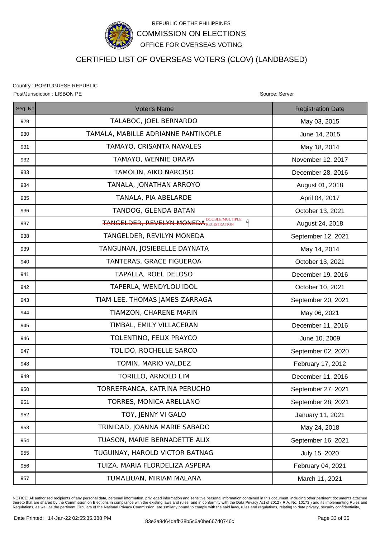

# CERTIFIED LIST OF OVERSEAS VOTERS (CLOV) (LANDBASED)

Country : PORTUGUESE REPUBLIC Post/Jurisdiction : LISBON PE Source: Server Source: Server Source: Server Source: Server

Seq. No **Registration Date Contact Contact Voter's Name** Registration Date Registration Date 929 | TALABOC, JOEL BERNARDO | May 03, 2015 930 | TAMALA, MABILLE ADRIANNE PANTINOPLE | June 14, 2015 931 | TAMAYO, CRISANTA NAVALES | May 18, 2014 932 Sand TAMAYO, WENNIE ORAPA November 12, 2017 933 | TAMOLIN, AIKO NARCISO | December 28, 2016 934 | TANALA, JONATHAN ARROYO | August 01, 2018 935 | TANALA, PIA ABELARDE | April 04, 2017 936 | TANDOG, GLENDA BATAN | October 13, 2021 937  $\parallel$  August 24, 2018 – TANGELDER, REVELYN MONEDA REGISTRATION  $\parallel$  and  $\parallel$  and  $\parallel$  and  $\parallel$  and  $\parallel$  and  $\parallel$  and  $\parallel$  and  $\parallel$  and  $\parallel$  and  $\parallel$  and  $\parallel$  and  $\parallel$  and  $\parallel$  and  $\parallel$  and  $\parallel$  and  $\parallel$  and  $\parallel$  and  $\$ 938 | TANGELDER, REVILYN MONEDA | September 12, 2021 939 TANGUNAN, JOSIEBELLE DAYNATA May 14, 2014 940 | TANTERAS, GRACE FIGUEROA | October 13, 2021 941 | TAPALLA, ROEL DELOSO | December 19, 2016 942 | Corober 10, 2021 | Corober 10, 2021 943 | TIAM-LEE, THOMAS JAMES ZARRAGA | September 20, 2021 944 | TIAMZON, CHARENE MARIN NARIO 1944 | May 06, 2021 945 TIMBAL, EMILY VILLACERAN December 11, 2016 946 | TOLENTINO, FELIX PRAYCO | June 10, 2009 947 TOLIDO, ROCHELLE SARCO September 02, 2020 948 | TOMIN, MARIO VALDEZ | February 17, 2012 949 TORILLO, ARNOLD LIM December 11, 2016 950 | TORREFRANCA, KATRINA PERUCHO | September 27, 2021 951 | TORRES, MONICA ARELLANO | September 28, 2021 952 **TOY, JENNY VI GALO CONFIDENT SERVITS AND TOY, JENNY VI GALO January 11, 2021** 953 | TRINIDAD, JOANNA MARIE SABADO | May 24, 2018 954 | TUASON, MARIE BERNADETTE ALIX | September 16, 2021 955 TUGUINAY, HAROLD VICTOR BATNAG July 15, 2020 956 | TUIZA, MARIA FLORDELIZA ASPERA | February 04, 2021 957 Narch 11, 2021 TUMALIUAN, MIRIAM MALANA MARE MARCH 11, 2021 REGISTRATION

NOTICE: All authorized recipients of any personal data, personal information, privileged information and sensitive personal information contained in this document. including other pertinent documents attached thereto that are shared by the Commission on Elections in compliance with the existing laws and rules, and in conformity with the Data Privacy Act of 2012 ( R.A. No. 10173 ) and its implementing Rules and<br>Regulations, as w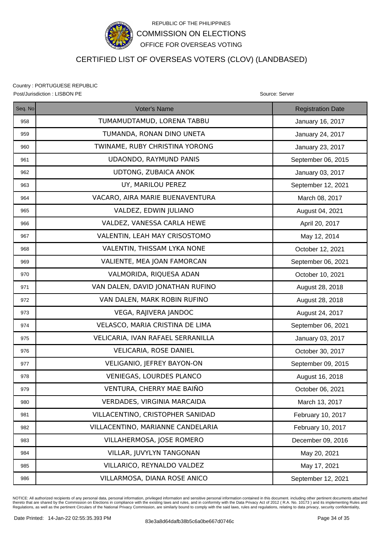

### CERTIFIED LIST OF OVERSEAS VOTERS (CLOV) (LANDBASED)

Country : PORTUGUESE REPUBLIC

Seq. No **Registration Date Contact Contact Voter's Name** Registration Date Registration Date Post/Jurisdiction : LISBON PE **Source: Server** Source: Server Source: Server Source: Server Source: Server Source: Server Source: Server Source: Server Source: Server Source: Server Source: Server Source: Server Source: Se 958 | TUMAMUDTAMUD, LORENA TABBU | January 16, 2017 959 TUMANDA, RONAN DINO UNETA January 24, 2017 960 | TWINAME, RUBY CHRISTINA YORONG | January 23, 2017 961 | UDAONDO, RAYMUND PANIS | September 06, 2015 962 | UDTONG, ZUBAICA ANOK | January 03, 2017 963 | UY, MARILOU PEREZ | September 12, 2021 964 VACARO, AIRA MARIE BUENAVENTURA NELL'INITIANI March 08, 2017 965 VALDEZ, EDWIN JULIANO August 04, 2021 966 VALDEZ, VANESSA CARLA HEWE April 20, 2017 967 WALENTIN, LEAH MAY CRISOSTOMO NEW 12, 2014 968 VALENTIN, THISSAM LYKA NONE COLODER 12, 2021 969 | VALIENTE, MEA JOAN FAMORCAN | September 06, 2021 970 VALMORIDA, RIQUESA ADAN **National State of Accept 10, 2021** 971 VAN DALEN, DAVID JONATHAN RUFINO August 28, 2018 972 VAN DALEN, MARK ROBIN RUFINO | August 28, 2018 973 VEGA, RAJIVERA JANDOC August 24, 2017 974 | VELASCO, MARIA CRISTINA DE LIMA | September 06, 2021 975 | VELICARIA, IVAN RAFAEL SERRANILLA | January 03, 2017 976 VELICARIA, ROSE DANIEL October 30, 2017 977 | VELIGANIO, JEFREY BAYON-ON | September 09, 2015 978 VENIEGAS, LOURDES PLANCO August 16, 2018 979 | VENTURA, CHERRY MAE BAIÑO | October 06, 2021 980 | VERDADES, VIRGINIA MARCAIDA | March 13, 2017 981 | VILLACENTINO, CRISTOPHER SANIDAD | February 10, 2017 982 | VILLACENTINO, MARIANNE CANDELARIA | February 10, 2017 983 | VILLAHERMOSA, JOSE ROMERO | December 09, 2016 984 NILLAR, JUVYLYN TANGONAN NAMAN May 20, 2021

NOTICE: All authorized recipients of any personal data, personal information, privileged information and sensitive personal information contained in this document. including other pertinent documents attached thereto that are shared by the Commission on Elections in compliance with the existing laws and rules, and in conformity with the Data Privacy Act of 2012 ( R.A. No. 10173 ) and its implementing Rules and<br>Regulations, as w

985 | VILLARICO, REYNALDO VALDEZ | May 17, 2021

986 | VILLARMOSA, DIANA ROSE ANICO | September 12, 2021